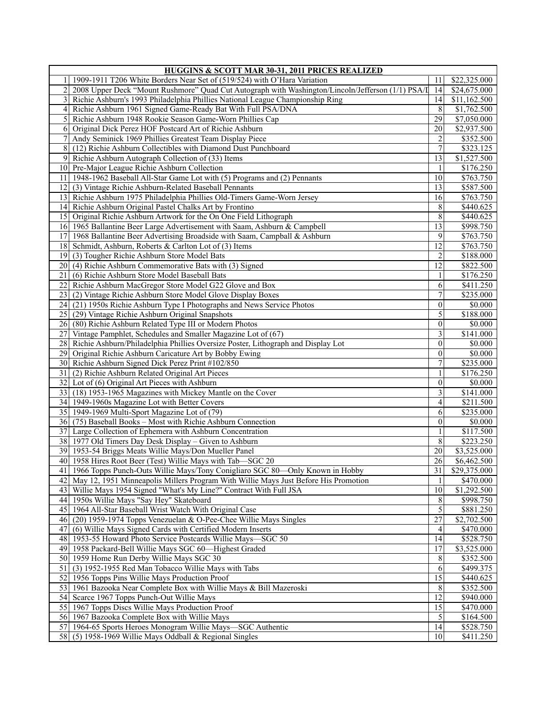| HUGGINS & SCOTT MAR 30-31, 2011 PRICES REALIZED                                                                     |                  |              |
|---------------------------------------------------------------------------------------------------------------------|------------------|--------------|
| 1909-1911 T206 White Borders Near Set of (519/524) with O'Hara Variation                                            | 11               | \$22,325.000 |
| $\overline{2}$<br>2008 Upper Deck "Mount Rushmore" Quad Cut Autograph with Washington/Lincoln/Jefferson (1/1) PSA/I | 14               | \$24,675.000 |
| Richie Ashburn's 1993 Philadelphia Phillies National League Championship Ring                                       | 4                | \$11,162.500 |
| Richie Ashburn 1961 Signed Game-Ready Bat With Full PSA/DNA<br>4                                                    | 8                | \$1,762.500  |
| $\mathfrak{S}$<br>Richie Ashburn 1948 Rookie Season Game-Worn Phillies Cap                                          | 29               | \$7,050.000  |
| 6<br>Original Dick Perez HOF Postcard Art of Richie Ashburn                                                         | 20               | \$2,937.500  |
| 7<br>Andy Seminick 1969 Phillies Greatest Team Display Piece                                                        | 2                | \$352.500    |
| 8<br>(12) Richie Ashburn Collectibles with Diamond Dust Punchboard                                                  | 7                | \$323.125    |
| 9<br>Richie Ashburn Autograph Collection of (33) Items                                                              | 13               | \$1,527.500  |
| 10 Pre-Major League Richie Ashburn Collection                                                                       | 1                | \$176.250    |
| 1948-1962 Baseball All-Star Game Lot with (5) Programs and (2) Pennants<br>11                                       | 10               | \$763.750    |
| 12<br>(3) Vintage Richie Ashburn-Related Baseball Pennants                                                          | 13               | \$587.500    |
| 13<br>Richie Ashburn 1975 Philadelphia Phillies Old-Timers Game-Worn Jersey                                         | 16               | \$763.750    |
| 14<br>Richie Ashburn Original Pastel Chalks Art by Frontino                                                         | 8                | \$440.625    |
| Original Richie Ashburn Artwork for the On One Field Lithograph<br>15 <sup>1</sup>                                  | 8                | \$440.625    |
| 16<br>1965 Ballantine Beer Large Advertisement with Saam, Ashburn & Campbell                                        | $\overline{13}$  | \$998.750    |
| 17                                                                                                                  | 9                |              |
| 1968 Ballantine Beer Advertising Broadside with Saam, Campball & Ashburn<br>18                                      | 12               | \$763.750    |
| Schmidt, Ashburn, Roberts & Carlton Lot of (3) Items                                                                |                  | \$763.750    |
| (3) Tougher Richie Ashburn Store Model Bats<br>19                                                                   | $\overline{c}$   | \$188.000    |
| (4) Richie Ashburn Commemorative Bats with (3) Signed<br>20                                                         | 12<br>1          | \$822.500    |
| (6) Richie Ashburn Store Model Baseball Bats<br>21                                                                  |                  | \$176.250    |
| 22<br>Richie Ashburn MacGregor Store Model G22 Glove and Box                                                        | 6                | \$411.250    |
| 23<br>(2) Vintage Richie Ashburn Store Model Glove Display Boxes                                                    | 7                | \$235.000    |
| 24<br>(21) 1950s Richie Ashburn Type I Photographs and News Service Photos                                          | $\boldsymbol{0}$ | \$0.000      |
| (29) Vintage Richie Ashburn Original Snapshots<br>25                                                                | 5                | \$188.000    |
| (80) Richie Ashburn Related Type III or Modern Photos<br>26                                                         | $\mathbf{0}$     | \$0.000      |
| 27<br>Vintage Pamphlet, Schedules and Smaller Magazine Lot of (67)                                                  | 3                | \$141.000    |
| 28<br>Richie Ashburn/Philadelphia Phillies Oversize Poster, Lithograph and Display Lot                              | $\theta$         | \$0.000      |
| 29<br>Original Richie Ashburn Caricature Art by Bobby Ewing                                                         | $\boldsymbol{0}$ | \$0.000      |
| 30 Richie Ashburn Signed Dick Perez Print #102/850                                                                  | 7                | \$235.000    |
| 31<br>(2) Richie Ashburn Related Original Art Pieces                                                                |                  | \$176.250    |
| 32 Lot of (6) Original Art Pieces with Ashburn                                                                      | $\boldsymbol{0}$ | \$0.000      |
| 33<br>(18) 1953-1965 Magazines with Mickey Mantle on the Cover                                                      | 3                | \$141.000    |
| 34 1949-1960s Magazine Lot with Better Covers                                                                       | 4                | \$211.500    |
| 35 1949-1969 Multi-Sport Magazine Lot of (79)                                                                       | 6                | \$235.000    |
| 36<br>(75) Baseball Books - Most with Richie Ashburn Connection                                                     | $\mathbf{0}$     | \$0.000      |
| 37<br>Large Collection of Ephemera with Ashburn Concentration                                                       | 1                | \$117.500    |
| 38<br>1977 Old Timers Day Desk Display – Given to Ashburn                                                           | 8                | \$223.250    |
| 39 1953-54 Briggs Meats Willie Mays/Don Mueller Panel                                                               | 20               | \$3,525.000  |
| 40 1958 Hires Root Beer (Test) Willie Mays with Tab—SGC 20                                                          | 26               | \$6,462.500  |
| 41 1966 Topps Punch-Outs Willie Mays/Tony Conigliaro SGC 80-Only Known in Hobby                                     | $\overline{31}$  | \$29,375.000 |
| 42 May 12, 1951 Minneapolis Millers Program With Willie Mays Just Before His Promotion                              | $\mathbf{1}$     | \$470.000    |
| Willie Mays 1954 Signed "What's My Line?" Contract With Full JSA<br>431                                             | 10               | \$1,292.500  |
| 44 1950s Willie Mays "Say Hey" Skateboard                                                                           | 8                | \$998.750    |
| 45 1964 All-Star Baseball Wrist Watch With Original Case                                                            | $\vert$          | \$881.250    |
| (20) 1959-1974 Topps Venezuelan & O-Pee-Chee Willie Mays Singles<br>461                                             | $\overline{27}$  | \$2,702.500  |
| (6) Willie Mays Signed Cards with Certified Modern Inserts<br>47                                                    | $\vert 4 \vert$  | \$470.000    |
| 1953-55 Howard Photo Service Postcards Willie Mays-SGC 50<br>48                                                     | 4                | \$528.750    |
| 49 1958 Packard-Bell Willie Mays SGC 60-Highest Graded                                                              | 17               | \$3,525.000  |
| 50 1959 Home Run Derby Willie Mays SGC 30                                                                           | 8                | \$352.500    |
| (3) 1952-1955 Red Man Tobacco Willie Mays with Tabs<br>51                                                           | 6                | \$499.375    |
| 52 1956 Topps Pins Willie Mays Production Proof                                                                     | 15               | \$440.625    |
| 53<br>1961 Bazooka Near Complete Box with Willie Mays & Bill Mazeroski                                              | 8                | \$352.500    |
| 54<br>Scarce 1967 Topps Punch-Out Willie Mays                                                                       | 12               | \$940.000    |
| 1967 Topps Discs Willie Mays Production Proof<br>55                                                                 | 15               | \$470.000    |
| 56 1967 Bazooka Complete Box with Willie Mays                                                                       | $\vert 5 \vert$  | \$164.500    |
| 57<br>1964-65 Sports Heroes Monogram Willie Mays—SGC Authentic                                                      | 14               | \$528.750    |
| 58<br>$(5)$ 1958-1969 Willie Mays Oddball & Regional Singles                                                        | 10 <sup>1</sup>  | \$411.250    |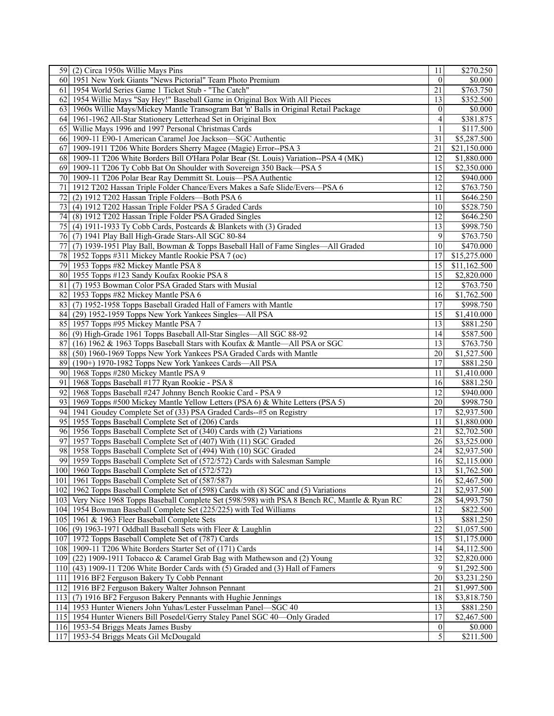| 59 (2) Circa 1950s Willie Mays Pins                                                            | 11               | \$270.250               |
|------------------------------------------------------------------------------------------------|------------------|-------------------------|
| 1951 New York Giants "News Pictorial" Team Photo Premium<br>60I                                | $\theta$         | \$0.000                 |
| 1954 World Series Game 1 Ticket Stub - "The Catch"<br>61                                       | 21               | \$763.750               |
| 1954 Willie Mays "Say Hey!" Baseball Game in Original Box With All Pieces<br>621               | 13               | \$352.500               |
| 63   1960s Willie Mays/Mickey Mantle Transogram Bat 'n' Balls in Original Retail Package       | $\theta$         | \$0.000                 |
| 64 1961-1962 All-Star Stationery Letterhead Set in Original Box                                | 4                | \$381.875               |
| 65 Willie Mays 1996 and 1997 Personal Christmas Cards                                          | 1                | \$117.500               |
| 66 1909-11 E90-1 American Caramel Joe Jackson—SGC Authentic                                    | 31               | \$5,287.500             |
| 67<br>1909-1911 T206 White Borders Sherry Magee (Magie) Error--PSA 3                           | 21               | \$21,150.000            |
| 1909-11 T206 White Borders Bill O'Hara Polar Bear (St. Louis) Variation--PSA 4 (MK)<br>68 I    | 12               | \$1,880.000             |
| 69 1909-11 T206 Ty Cobb Bat On Shoulder with Sovereign 350 Back-PSA 5                          | 15               | \$2,350.000             |
| 1909-11 T206 Polar Bear Ray Demmitt St. Louis-PSA Authentic<br>70I                             | 12               | \$940.000               |
| 71<br>1912 T202 Hassan Triple Folder Chance/Evers Makes a Safe Slide/Evers-PSA 6               | 12               | $\overline{$763.750}$   |
| (2) 1912 T202 Hassan Triple Folders-Both PSA 6<br>72                                           | 11               | \$646.250               |
| (4) 1912 T202 Hassan Triple Folder PSA 5 Graded Cards                                          | 10               |                         |
| 73                                                                                             |                  | \$528.750               |
| (8) 1912 T202 Hassan Triple Folder PSA Graded Singles<br>74I                                   | 12               | \$646.250               |
| 75 (4) 1911-1933 Ty Cobb Cards, Postcards & Blankets with (3) Graded                           | 13               | \$998.750               |
| 76 (7) 1941 Play Ball High-Grade Stars-All SGC 80-84                                           | 9                | \$763.750               |
| 77<br>(7) 1939-1951 Play Ball, Bowman & Topps Baseball Hall of Fame Singles-All Graded         | 10               | \$470.000               |
| 78 1952 Topps #311 Mickey Mantle Rookie PSA 7 (oc)                                             | 17               | \$15,275.000            |
| 79 1953 Topps #82 Mickey Mantle PSA 8                                                          | 15               | \$11,162.500            |
| 80 1955 Topps #123 Sandy Koufax Rookie PSA 8                                                   | 15               | \$2,820.000             |
| 81<br>(7) 1953 Bowman Color PSA Graded Stars with Musial                                       | 12               | \$763.750               |
| 82 1953 Topps #82 Mickey Mantle PSA 6                                                          | 16               | \$1,762.500             |
| 83 (7) 1952-1958 Topps Baseball Graded Hall of Famers with Mantle                              | 17               | \$998.750               |
| (29) 1952-1959 Topps New York Yankees Singles—All PSA<br>84                                    | 15               | \$1,410.000             |
| 85 1957 Topps #95 Mickey Mantle PSA 7                                                          | 13               | \$881.250               |
| 86 (9) High-Grade 1961 Topps Baseball All-Star Singles—All SGC 88-92                           | 14               | \$587.500               |
| 87<br>(16) 1962 & 1963 Topps Baseball Stars with Koufax & Mantle-All PSA or SGC                | 13               | \$763.750               |
| 88<br>(50) 1960-1969 Topps New York Yankees PSA Graded Cards with Mantle                       | 20               | \$1,527.500             |
| (190+) 1970-1982 Topps New York Yankees Cards-All PSA<br>89I                                   | 17               | \$881.250               |
| 1968 Topps #280 Mickey Mantle PSA 9<br>90I                                                     | 11               | \$1,410.000             |
| 91<br>1968 Topps Baseball #177 Ryan Rookie - PSA 8                                             | 16               | \$881.250               |
| 1968 Topps Baseball #247 Johnny Bench Rookie Card - PSA 9<br>92                                | 12               | \$940.000               |
| 93 1969 Topps #500 Mickey Mantle Yellow Letters (PSA 6) & White Letters (PSA 5)                | 20               | \$998.750               |
| 94 1941 Goudey Complete Set of (33) PSA Graded Cards--#5 on Registry                           | 17               | \$2,937.500             |
| 95 1955 Topps Baseball Complete Set of (206) Cards                                             | 11               | \$1,880.000             |
| 96 1956 Topps Baseball Complete Set of (340) Cards with (2) Variations                         | 21               | \$2,702.500             |
| 97<br>1957 Topps Baseball Complete Set of (407) With (11) SGC Graded                           | 26               | \$3,525.000             |
| 98<br>1958 Topps Baseball Complete Set of (494) With (10) SGC Graded                           | 24               | \$2,937.500             |
| 99 1959 Topps Baseball Complete Set of (572/572) Cards with Salesman Sample                    | 16               | \$2,115.000             |
| 100 1960 Topps Baseball Complete Set of (572/572)                                              | $\overline{13}$  | \$1,762.500             |
| 101   1961 Topps Baseball Complete Set of (587/587)                                            | 16               | $\overline{$}2,467.500$ |
| 102 1962 Topps Baseball Complete Set of (598) Cards with (8) SGC and (5) Variations            | 21               | \$2,937.500             |
| 103 Very Nice 1968 Topps Baseball Complete Set (598/598) with PSA 8 Bench RC, Mantle & Ryan RC | 28               | \$4,993.750             |
| 104 1954 Bowman Baseball Complete Set (225/225) with Ted Williams                              | 12               | \$822.500               |
| 105 1961 & 1963 Fleer Baseball Complete Sets                                                   | 13               | $\overline{$881.250}$   |
| 106 (9) 1963-1971 Oddball Baseball Sets with Fleer & Laughlin                                  | 22               | \$1,057.500             |
|                                                                                                |                  |                         |
| 107 1972 Topps Baseball Complete Set of (787) Cards                                            | 15               | \$1,175.000             |
| 108 1909-11 T206 White Borders Starter Set of (171) Cards                                      | 14               | \$4,112.500             |
| 109 (22) 1909-1911 Tobacco & Caramel Grab Bag with Mathewson and (2) Young                     | 32               | \$2,820.000             |
| 110 (43) 1909-11 T206 White Border Cards with (5) Graded and (3) Hall of Famers                | $\overline{9}$   | \$1,292.500             |
| 111 1916 BF2 Ferguson Bakery Ty Cobb Pennant                                                   | 20               | \$3,231.250             |
| 112 1916 BF2 Ferguson Bakery Walter Johnson Pennant                                            | 21               | \$1,997.500             |
| 113 (7) 1916 BF2 Ferguson Bakery Pennants with Hughie Jennings                                 | 18               | \$3,818.750             |
| 114 1953 Hunter Wieners John Yuhas/Lester Fusselman Panel-SGC 40                               | 13               | \$881.250               |
| 115 1954 Hunter Wieners Bill Posedel/Gerry Staley Panel SGC 40—Only Graded                     | 17               | \$2,467.500             |
| 116 1953-54 Briggs Meats James Busby                                                           | $\boldsymbol{0}$ | \$0.000                 |
| 117 1953-54 Briggs Meats Gil McDougald                                                         | $\vert 5 \vert$  | $\overline{$}211.500$   |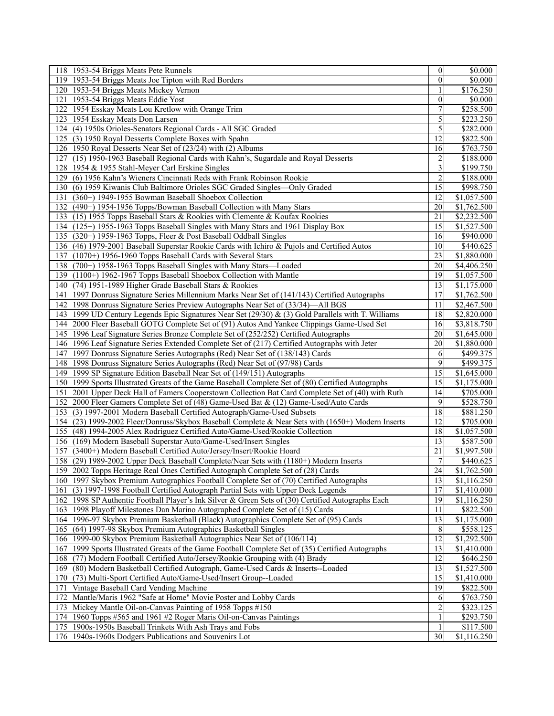| 118 1953-54 Briggs Meats Pete Runnels                                                                | $\boldsymbol{0}$ | \$0.000     |
|------------------------------------------------------------------------------------------------------|------------------|-------------|
| 119 1953-54 Briggs Meats Joe Tipton with Red Borders                                                 | $\theta$         | \$0.000     |
| 120 1953-54 Briggs Meats Mickey Vernon                                                               | 1                | \$176.250   |
| 121<br>1953-54 Briggs Meats Eddie Yost                                                               | $\overline{0}$   | \$0.000     |
| 122 1954 Esskay Meats Lou Kretlow with Orange Trim                                                   | 7                | \$258.500   |
| 123 1954 Esskay Meats Don Larsen                                                                     | 5                | \$223.250   |
| 124 (4) 1950s Orioles-Senators Regional Cards - All SGC Graded                                       | 5                | \$282.000   |
| 125 (3) 1950 Royal Desserts Complete Boxes with Spahn                                                | 12               | \$822.500   |
| 126 1950 Royal Desserts Near Set of (23/24) with (2) Albums                                          | 16               | \$763.750   |
| 127<br>(15) 1950-1963 Baseball Regional Cards with Kahn's, Sugardale and Royal Desserts              | $\overline{c}$   | \$188.000   |
| 128 1954 & 1955 Stahl-Meyer Carl Erskine Singles                                                     | 3                | \$199.750   |
| 129 (6) 1956 Kahn's Wieners Cincinnati Reds with Frank Robinson Rookie                               | $\overline{c}$   | \$188.000   |
| 130 (6) 1959 Kiwanis Club Baltimore Orioles SGC Graded Singles—Only Graded                           | 15               | \$998.750   |
| (360+) 1949-1955 Bowman Baseball Shoebox Collection<br>131                                           | 12               | \$1,057.500 |
|                                                                                                      | 20               |             |
| 132 (490+) 1954-1956 Topps/Bowman Baseball Collection with Many Stars                                |                  | \$1,762.500 |
| 133 (15) 1955 Topps Baseball Stars & Rookies with Clemente & Koufax Rookies                          | 21               | \$2,232.500 |
| 134 (125+) 1955-1963 Topps Baseball Singles with Many Stars and 1961 Display Box                     | 15               | \$1,527.500 |
| 135 (320+) 1959-1963 Topps, Fleer & Post Baseball Oddball Singles                                    | 16               | \$940.000   |
| 136 (46) 1979-2001 Baseball Superstar Rookie Cards with Ichiro & Pujols and Certified Autos          | 10               | \$440.625   |
| 137 (1070+) 1956-1960 Topps Baseball Cards with Several Stars                                        | 23               | \$1,880.000 |
| 138 (700+) 1958-1963 Topps Baseball Singles with Many Stars—Loaded                                   | 20               | \$4,406.250 |
| 139 (1100+) 1962-1967 Topps Baseball Shoebox Collection with Mantle                                  | 19               | \$1,057.500 |
| 140 (74) 1951-1989 Higher Grade Baseball Stars & Rookies                                             | 13               | \$1,175.000 |
| 141 1997 Donruss Signature Series Millennium Marks Near Set of (141/143) Certified Autographs        | 17               | \$1,762.500 |
| 142 1998 Donruss Signature Series Preview Autographs Near Set of (33/34)—All BGS                     | 11               | \$2,467.500 |
| 143 1999 UD Century Legends Epic Signatures Near Set (29/30) & (3) Gold Parallels with T. Williams   | 18               | \$2,820.000 |
| 144 2000 Fleer Baseball GOTG Complete Set of (91) Autos And Yankee Clippings Game-Used Set           | 16               | \$3,818.750 |
| 145 1996 Leaf Signature Series Bronze Complete Set of (252/252) Certified Autographs                 | 20               | \$1,645.000 |
| 146 1996 Leaf Signature Series Extended Complete Set of (217) Certified Autographs with Jeter        | 20               | \$1,880.000 |
| 147 1997 Donruss Signature Series Autographs (Red) Near Set of (138/143) Cards                       | 6                | \$499.375   |
| 148 1998 Donruss Signature Series Autographs (Red) Near Set of (97/98) Cards                         | 9                | \$499.375   |
| 149 1999 SP Signature Edition Baseball Near Set of (149/151) Autographs                              | 15               | \$1,645.000 |
| 150 1999 Sports Illustrated Greats of the Game Baseball Complete Set of (80) Certified Autographs    | 15               | \$1,175.000 |
| 151<br>2001 Upper Deck Hall of Famers Cooperstown Collection Bat Card Complete Set of (40) with Ruth | 14               | \$705.000   |
| 152 2000 Fleer Gamers Complete Set of (48) Game-Used Bat & (12) Game-Used/Auto Cards                 | 9                | \$528.750   |
| 153 (3) 1997-2001 Modern Baseball Certified Autograph/Game-Used Subsets                              | 18               | \$881.250   |
| 154 (23) 1999-2002 Fleer/Donruss/Skybox Baseball Complete & Near Sets with (1650+) Modern Inserts    | 12               | \$705.000   |
| 155 (48) 1994-2005 Alex Rodriguez Certified Auto/Game-Used/Rookie Collection                         | 18               | \$1,057.500 |
| 156 (169) Modern Baseball Superstar Auto/Game-Used/Insert Singles                                    | 13               | \$587.500   |
| 157<br>(3400+) Modern Baseball Certified Auto/Jersey/Insert/Rookie Hoard                             | 21               | \$1,997.500 |
| 158 (29) 1989-2002 Upper Deck Baseball Complete/Near Sets with (1180+) Modern Inserts                | $\boldsymbol{7}$ | \$440.625   |
| 159 2002 Topps Heritage Real Ones Certified Autograph Complete Set of (28) Cards                     | $\overline{24}$  | \$1,762.500 |
| 160 1997 Skybox Premium Autographics Football Complete Set of (70) Certified Autographs              | 13               | \$1,116.250 |
| 161 (3) 1997-1998 Football Certified Autograph Partial Sets with Upper Deck Legends                  | 17               | \$1,410.000 |
| 162 1998 SP Authentic Football Player's Ink Silver & Green Sets of (30) Certified Autographs Each    | 19               | \$1,116.250 |
| 163 1998 Playoff Milestones Dan Marino Autographed Complete Set of (15) Cards                        | 11               | \$822.500   |
|                                                                                                      |                  | \$1,175.000 |
| 164 1996-97 Skybox Premium Basketball (Black) Autographics Complete Set of (95) Cards                | 13               |             |
| 165 (64) 1997-98 Skybox Premium Autographics Basketball Singles                                      | 8                | \$558.125   |
| 166 1999-00 Skybox Premium Basketball Autographics Near Set of (106/114)                             | 12               | \$1,292.500 |
| 167<br>1999 Sports Illustrated Greats of the Game Football Complete Set of (35) Certified Autographs | 13               | \$1,410.000 |
| 168 (77) Modern Football Certified Auto/Jersey/Rookie Grouping with (4) Brady                        | 12               | \$646.250   |
| 169 (80) Modern Basketball Certified Autograph, Game-Used Cards & Inserts--Loaded                    | 13               | \$1,527.500 |
| 170 (73) Multi-Sport Certified Auto/Game-Used/Insert Group--Loaded                                   | 15               | \$1,410.000 |
| 171<br>Vintage Baseball Card Vending Machine                                                         | 19               | \$822.500   |
| Mantle/Maris 1962 "Safe at Home" Movie Poster and Lobby Cards<br>172                                 | 6                | \$763.750   |
| Mickey Mantle Oil-on-Canvas Painting of 1958 Topps #150<br>173                                       | $\overline{c}$   | \$323.125   |
| 174 1960 Topps #565 and 1961 #2 Roger Maris Oil-on-Canvas Paintings                                  | 1                | \$293.750   |
| 175 1900s-1950s Baseball Trinkets With Ash Trays and Fobs                                            | 1                | \$117.500   |
| 176 1940s-1960s Dodgers Publications and Souvenirs Lot                                               | 30               | \$1,116.250 |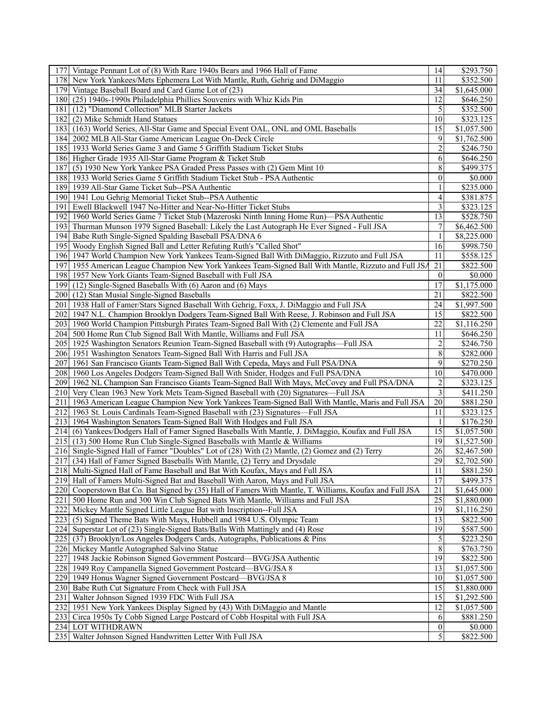| 177 Vintage Pennant Lot of (8) With Rare 1940s Bears and 1966 Hall of Fame                               | 14                                   | \$293.750                                    |
|----------------------------------------------------------------------------------------------------------|--------------------------------------|----------------------------------------------|
| 178 New York Yankees/Mets Ephemera Lot With Mantle, Ruth, Gehrig and DiMaggio                            | 11                                   | \$352.500                                    |
| 179 Vintage Baseball Board and Card Game Lot of (23)                                                     | 34                                   | \$1,645.000                                  |
| 180 (25) 1940s-1990s Philadelphia Phillies Souvenirs with Whiz Kids Pin                                  | 12                                   | \$646.250                                    |
| 181<br>(12) "Diamond Collection" MLB Starter Jackets                                                     | 5                                    | \$352.500                                    |
| (2) Mike Schmidt Hand Statues<br>1821                                                                    | 10                                   | \$323.125                                    |
| 183 (163) World Series, All-Star Game and Special Event OAL, ONL and OML Baseballs                       | 15                                   | \$1,057.500                                  |
| 184<br>2002 MLB All-Star Game American League On-Deck Circle                                             | 9                                    | \$1,762.500                                  |
|                                                                                                          |                                      |                                              |
| 185 1933 World Series Game 3 and Game 5 Griffith Stadium Ticket Stubs                                    | $\overline{c}$                       | \$246.750                                    |
| 186 Higher Grade 1935 All-Star Game Program & Ticket Stub                                                | 6                                    | \$646.250                                    |
| 187<br>(5) 1930 New York Yankee PSA Graded Press Passes with (2) Gem Mint 10                             | 8                                    | \$499.375                                    |
| 188 1933 World Series Game 5 Griffith Stadium Ticket Stub - PSA Authentic                                | $\boldsymbol{0}$                     | \$0.000                                      |
| 1939 All-Star Game Ticket Sub--PSA Authentic<br>1891                                                     | 1                                    | \$235.000                                    |
| 190 1941 Lou Gehrig Memorial Ticket Stub--PSA Authentic                                                  | 4                                    | \$381.875                                    |
| 191<br>Ewell Blackwell 1947 No-Hitter and Near-No-Hitter Ticket Stubs                                    | 3                                    | \$323.125                                    |
| 1960 World Series Game 7 Ticket Stub (Mazeroski Ninth Inning Home Run)—PSA Authentic<br>192              | 13                                   | \$528.750                                    |
| 193 Thurman Munson 1979 Signed Baseball: Likely the Last Autograph He Ever Signed - Full JSA             | 7                                    | \$6,462.500                                  |
| Babe Ruth Single-Signed Spalding Baseball PSA/DNA 6<br>1941                                              | 1                                    | $\overline{$8,225.000}$                      |
| 1951<br>Woody English Signed Ball and Letter Refuting Ruth's "Called Shot"                               | 16                                   | \$998.750                                    |
| 196 1947 World Champion New York Yankees Team-Signed Ball With DiMaggio, Rizzuto and Full JSA            | 11                                   | \$558.125                                    |
| 197 1955 American League Champion New York Yankees Team-Signed Ball With Mantle, Rizzuto and Full JSA    | 21                                   | \$822.500                                    |
| 198 1957 New York Giants Team-Signed Baseball with Full JSA                                              | $\theta$                             | \$0.000                                      |
| (12) Single-Signed Baseballs With (6) Aaron and (6) Mays<br>1991                                         | 17                                   | \$1,175.000                                  |
| 200 (12) Stan Musial Single-Signed Baseballs                                                             | 21                                   | \$822.500                                    |
| 201   1938 Hall of Famer/Stars Signed Baseball With Gehrig, Foxx, J. DiMaggio and Full JSA               | 24                                   | \$1,997.500                                  |
| 202   1947 N.L. Champion Brooklyn Dodgers Team-Signed Ball With Reese, J. Robinson and Full JSA          | 15                                   | \$822.500                                    |
| 203   1960 World Champion Pittsburgh Pirates Team-Signed Ball With (2) Clemente and Full JSA             | 22                                   | \$1,116.250                                  |
| 204 500 Home Run Club Signed Ball With Mantle, Williams and Full JSA                                     | 11                                   | \$646.250                                    |
|                                                                                                          |                                      | \$246.750                                    |
| 205   1925 Washington Senators Reunion Team-Signed Baseball with (9) Autographs—Full JSA                 | $\overline{\mathbf{c}}$<br>$\,$ $\,$ |                                              |
| 206 1951 Washington Senators Team-Signed Ball With Harris and Full JSA                                   | 9                                    | \$282.000                                    |
| 1961 San Francisco Giants Team-Signed Ball With Cepeda, Mays and Full PSA/DNA<br>2071                    |                                      | \$270.250                                    |
| 208 1960 Los Angeles Dodgers Team-Signed Ball With Snider, Hodges and Full PSA/DNA                       | 10                                   | \$470.000                                    |
| 2091<br>1962 NL Champion San Francisco Giants Team-Signed Ball With Mays, McCovey and Full PSA/DNA       | $\overline{\mathbf{c}}$              | \$323.125                                    |
| 210<br>Very Clean 1963 New York Mets Team-Signed Baseball with (20) Signatures—Full JSA                  | 3                                    | \$411.250                                    |
| 1963 American League Champion New York Yankees Team-Signed Ball With Mantle, Maris and Full JSA<br>211   | 20                                   | \$881.250                                    |
| 212 1963 St. Louis Cardinals Team-Signed Baseball with (23) Signatures—Full JSA                          | 11                                   | \$323.125                                    |
| 213 1964 Washington Senators Team-Signed Ball With Hodges and Full JSA                                   | 1                                    | \$176.250                                    |
| (6) Yankees/Dodgers Hall of Famer Signed Baseballs With Mantle, J. DiMaggio, Koufax and Full JSA<br>2141 | 15                                   | \$1,057.500                                  |
| 215 (13) 500 Home Run Club Single-Signed Baseballs with Mantle & Williams                                | 19                                   | \$1,527.500                                  |
| 216 Single-Signed Hall of Famer "Doubles" Lot of (28) With (2) Mantle, (2) Gomez and (2) Terry           | 26                                   | \$2,467.500                                  |
| 217 (34) Hall of Famer Signed Baseballs With Mantle, (2) Terry and Drysdale                              | 29                                   | \$2,702.500                                  |
| 218 Multi-Signed Hall of Fame Baseball and Bat With Koufax, Mays and Full JSA                            | 11                                   | \$881.250                                    |
| 219 Hall of Famers Multi-Signed Bat and Baseball With Aaron, Mays and Full JSA                           | $\overline{17}$                      | \$499.375                                    |
| 220 Cooperstown Bat Co. Bat Signed by (35) Hall of Famers With Mantle, T. Williams, Koufax and Full JSA  | 21                                   | \$1,645.000                                  |
| 500 Home Run and 300 Win Club Signed Bats With Mantle, Williams and Full JSA<br>221                      | 25                                   | \$1,880.000                                  |
| Mickey Mantle Signed Little League Bat with Inscription--Full JSA<br>222                                 | 19                                   | \$1,116.250                                  |
| 223<br>(5) Signed Theme Bats With Mays, Hubbell and 1984 U.S. Olympic Team                               | 13                                   | $\overline{$822.500}$                        |
| Superstar Lot of (23) Single-Signed Bats/Balls With Mattingly and (4) Rose<br>2241                       | 19                                   | \$587.500                                    |
| 225 (37) Brooklyn/Los Angeles Dodgers Cards, Autographs, Publications & Pins                             | 5                                    | \$223.250                                    |
| 226 Mickey Mantle Autographed Salvino Statue                                                             | $\,8\,$                              | \$763.750                                    |
| 1948 Jackie Robinson Signed Government Postcard-BVG/JSA Authentic<br>227                                 | 19                                   | \$822.500                                    |
| 228 1949 Roy Campanella Signed Government Postcard-BVG/JSA 8                                             | 13                                   | \$1,057.500                                  |
|                                                                                                          |                                      |                                              |
| 229 1949 Honus Wagner Signed Government Postcard—BVG/JSA 8                                               | 10                                   | \$1,057.500                                  |
| 230<br>Babe Ruth Cut Signature From Check with Full JSA                                                  | 15                                   | \$1,880.000                                  |
| 231<br>Walter Johnson Signed 1939 FDC With Full JSA                                                      | 15                                   | \$1,292.500                                  |
| 1951 New York Yankees Display Signed by (43) With DiMaggio and Mantle<br>232                             | 12                                   | \$1,057.500                                  |
| 233 Circa 1950s Ty Cobb Signed Large Postcard of Cobb Hospital with Full JSA                             | 6                                    | \$881.250                                    |
|                                                                                                          |                                      |                                              |
| 234 LOT WITHDRAWN<br>235 Walter Johnson Signed Handwritten Letter With Full JSA                          | $\boldsymbol{0}$<br>5                | $\overline{$}0.000$<br>$\overline{$822.500}$ |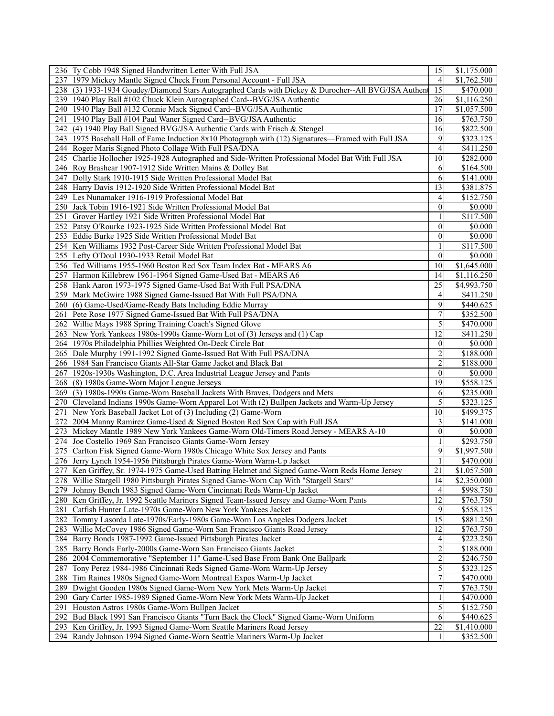|     | 236 Ty Cobb 1948 Signed Handwritten Letter With Full JSA                                             | 15               | \$1,175.000 |
|-----|------------------------------------------------------------------------------------------------------|------------------|-------------|
|     | 237 1979 Mickey Mantle Signed Check From Personal Account - Full JSA                                 | 4                | \$1,762.500 |
|     | 238 (3) 1933-1934 Goudey/Diamond Stars Autographed Cards with Dickey & Durocher--All BVG/JSA Authent | 15               | \$470.000   |
|     | 239 1940 Play Ball #102 Chuck Klein Autographed Card--BVG/JSA Authentic                              | 26               | \$1,116.250 |
|     | 240 1940 Play Ball #132 Connie Mack Signed Card--BVG/JSA Authentic                                   | 17               | \$1,057.500 |
|     | 241   1940 Play Ball #104 Paul Waner Signed Card--BVG/JSA Authentic                                  | 16               | \$763.750   |
|     | 242 (4) 1940 Play Ball Signed BVG/JSA Authentic Cards with Frisch & Stengel                          | 16               | \$822.500   |
|     | 243 1975 Baseball Hall of Fame Induction 8x10 Photograph with (12) Signatures—Framed with Full JSA   | 9                | \$323.125   |
|     | 244 Roger Maris Signed Photo Collage With Full PSA/DNA                                               | 4                | \$411.250   |
|     |                                                                                                      | 10               |             |
|     | 245 Charlie Hollocher 1925-1928 Autographed and Side-Written Professional Model Bat With Full JSA    |                  | \$282.000   |
|     | 246 Roy Brashear 1907-1912 Side Written Mains & Dolley Bat                                           | 6                | \$164.500   |
|     | 247 Dolly Stark 1910-1915 Side Written Professional Model Bat                                        | 6                | \$141.000   |
|     | 248 Harry Davis 1912-1920 Side Written Professional Model Bat                                        | 13               | \$381.875   |
|     | 249 Les Nunamaker 1916-1919 Professional Model Bat                                                   | 4                | \$152.750   |
|     | 250 Jack Tobin 1916-1921 Side Written Professional Model Bat                                         | $\overline{0}$   | \$0.000     |
|     | 251 Grover Hartley 1921 Side Written Professional Model Bat                                          |                  | \$117.500   |
|     | 252 Patsy O'Rourke 1923-1925 Side Written Professional Model Bat                                     | $\theta$         | \$0.000     |
|     | 253 Eddie Burke 1925 Side Written Professional Model Bat                                             | $\boldsymbol{0}$ | \$0.000     |
|     | 254   Ken Williams 1932 Post-Career Side Written Professional Model Bat                              | 1                | \$117.500   |
|     | 255 Lefty O'Doul 1930-1933 Retail Model Bat                                                          | $\mathbf{0}$     | \$0.000     |
|     | 256 Ted Williams 1955-1960 Boston Red Sox Team Index Bat - MEARS A6                                  | 10               | \$1,645.000 |
|     | 257 Harmon Killebrew 1961-1964 Signed Game-Used Bat - MEARS A6                                       | 14               | \$1,116.250 |
|     | 258 Hank Aaron 1973-1975 Signed Game-Used Bat With Full PSA/DNA                                      | 25               | \$4,993.750 |
|     | 259 Mark McGwire 1988 Signed Game-Issued Bat With Full PSA/DNA                                       | 4                | \$411.250   |
|     | 260 (6) Game-Used/Game-Ready Bats Including Eddie Murray                                             | 9                | \$440.625   |
|     | 261 Pete Rose 1977 Signed Game-Issued Bat With Full PSA/DNA                                          | 7                | \$352.500   |
|     | 262 Willie Mays 1988 Spring Training Coach's Signed Glove                                            | 5                | \$470.000   |
|     |                                                                                                      | 12               |             |
|     | 263 New York Yankees 1980s-1990s Game-Worn Lot of (3) Jerseys and (1) Cap                            |                  | \$411.250   |
|     | 264 1970s Philadelphia Phillies Weighted On-Deck Circle Bat                                          | $\mathbf{0}$     | \$0.000     |
|     | 265 Dale Murphy 1991-1992 Signed Game-Issued Bat With Full PSA/DNA                                   | $\overline{c}$   | \$188.000   |
|     | 266 1984 San Francisco Giants All-Star Game Jacket and Black Bat                                     | $\overline{c}$   | \$188.000   |
|     | 267   1920s-1930s Washington, D.C. Area Industrial League Jersey and Pants                           | $\mathbf{0}$     | \$0.000     |
|     | 268 (8) 1980s Game-Worn Major League Jerseys                                                         | 19               | \$558.125   |
|     | 269 (3) 1980s-1990s Game-Worn Baseball Jackets With Braves, Dodgers and Mets                         | 6                | \$235.000   |
|     | 270 Cleveland Indians 1990s Game-Worn Apparel Lot With (2) Bullpen Jackets and Warm-Up Jersey        | 5                | \$323.125   |
|     | 271 New York Baseball Jacket Lot of (3) Including (2) Game-Worn                                      | 10               | \$499.375   |
| 272 | 2004 Manny Ramirez Game-Used & Signed Boston Red Sox Cap with Full JSA                               | 3                | \$141.000   |
|     | 273 Mickey Mantle 1989 New York Yankees Game-Worn Old-Timers Road Jersey - MEARS A-10                | $\mathbf{0}$     | \$0.000     |
|     | 274 Joe Costello 1969 San Francisco Giants Game-Worn Jersey                                          | 1                | \$293.750   |
|     | 275 Carlton Fisk Signed Game-Worn 1980s Chicago White Sox Jersey and Pants                           | 9                | \$1,997.500 |
|     | 276 Jerry Lynch 1954-1956 Pittsburgh Pirates Game-Worn Warm-Up Jacket                                | 1                | \$470.000   |
|     | 277 Ken Griffey, Sr. 1974-1975 Game-Used Batting Helmet and Signed Game-Worn Reds Home Jersey        | $\overline{21}$  | \$1,057.500 |
|     | 278 Willie Stargell 1980 Pittsburgh Pirates Signed Game-Worn Cap With "Stargell Stars"               | 14               | \$2,350.000 |
|     | 279 Johnny Bench 1983 Signed Game-Worn Cincinnati Reds Warm-Up Jacket                                | 4                | \$998.750   |
|     | 280 Ken Griffey, Jr. 1992 Seattle Mariners Signed Team-Issued Jersey and Game-Worn Pants             | 12               | \$763.750   |
| 281 | Catfish Hunter Late-1970s Game-Worn New York Yankees Jacket                                          | 9                | \$558.125   |
|     | 282 Tommy Lasorda Late-1970s/Early-1980s Game-Worn Los Angeles Dodgers Jacket                        | $\overline{15}$  | \$881.250   |
|     | 283 Willie McCovey 1986 Signed Game-Worn San Francisco Giants Road Jersey                            | 12               | \$763.750   |
|     | 284 Barry Bonds 1987-1992 Game-Issued Pittsburgh Pirates Jacket                                      | 4                | \$223.250   |
|     |                                                                                                      | $\overline{c}$   |             |
|     | 285 Barry Bonds Early-2000s Game-Worn San Francisco Giants Jacket                                    |                  | \$188.000   |
|     | 286   2004 Commemorative "September 11" Game-Used Base From Bank One Ballpark                        | $\overline{c}$   | \$246.750   |
|     | 287 Tony Perez 1984-1986 Cincinnati Reds Signed Game-Worn Warm-Up Jersey                             | 5                | \$323.125   |
| 288 | Tim Raines 1980s Signed Game-Worn Montreal Expos Warm-Up Jacket                                      | $\boldsymbol{7}$ | \$470.000   |
|     | 289 Dwight Gooden 1980s Signed Game-Worn New York Mets Warm-Up Jacket                                | 7                | \$763.750   |
|     | 290 Gary Carter 1985-1989 Signed Game-Worn New York Mets Warm-Up Jacket                              | 1                | \$470.000   |
|     | 291 Houston Astros 1980s Game-Worn Bullpen Jacket                                                    | 5                | \$152.750   |
| 292 | Bud Black 1991 San Francisco Giants "Turn Back the Clock" Signed Game-Worn Uniform                   | 6                | \$440.625   |
|     | 293 Ken Griffey, Jr. 1993 Signed Game-Worn Seattle Mariners Road Jersey                              | 22               | \$1,410.000 |
|     | 294 Randy Johnson 1994 Signed Game-Worn Seattle Mariners Warm-Up Jacket                              | 1                | \$352.500   |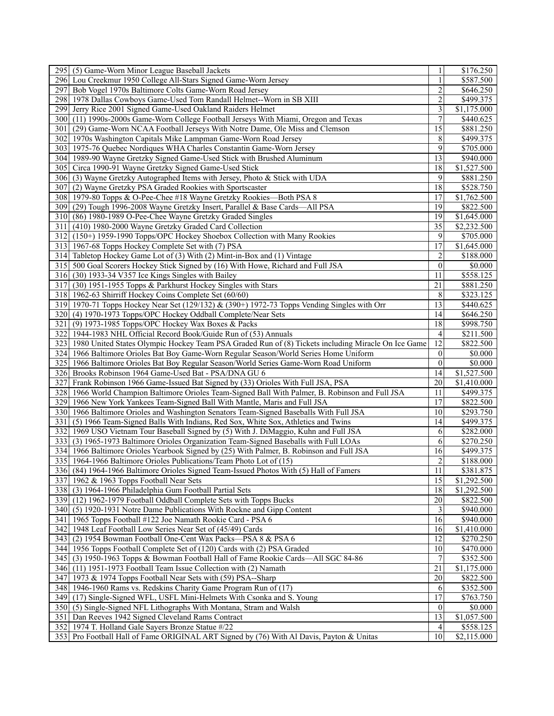|       | 295 (5) Game-Worn Minor League Baseball Jackets                                                        | 1                       | \$176.250               |
|-------|--------------------------------------------------------------------------------------------------------|-------------------------|-------------------------|
|       | 296 Lou Creekmur 1950 College All-Stars Signed Game-Worn Jersey                                        | $\mathbf{1}$            | \$587.500               |
| 297   | Bob Vogel 1970s Baltimore Colts Game-Worn Road Jersey                                                  | $\overline{c}$          | \$646.250               |
| 2981  | 1978 Dallas Cowboys Game-Used Tom Randall Helmet--Worn in SB XIII                                      | 2                       | \$499.375               |
|       | 299 Jerry Rice 2001 Signed Game-Used Oakland Raiders Helmet                                            | $\overline{\mathbf{3}}$ | \$1,175.000             |
|       | 300 (11) 1990s-2000s Game-Worn College Football Jerseys With Miami, Oregon and Texas                   | $\overline{7}$          | \$440.625               |
| 301 I | (29) Game-Worn NCAA Football Jerseys With Notre Dame, Ole Miss and Clemson                             | $\overline{15}$         | \$881.250               |
|       | 302 1970s Washington Capitals Mike Lampman Game-Worn Road Jersey                                       | 8                       | \$499.375               |
|       |                                                                                                        | 9                       |                         |
|       | 303   1975-76 Quebec Nordiques WHA Charles Constantin Game-Worn Jersey                                 |                         | \$705.000               |
|       | 304 1989-90 Wayne Gretzky Signed Game-Used Stick with Brushed Aluminum                                 | 13                      | \$940.000               |
|       | 305 Circa 1990-91 Wayne Gretzky Signed Game-Used Stick                                                 | 18                      | \$1,527.500             |
|       | 306 (3) Wayne Gretzky Autographed Items with Jersey, Photo & Stick with UDA                            | 9                       | \$881.250               |
| 307   | (2) Wayne Gretzky PSA Graded Rookies with Sportscaster                                                 | 18                      | \$528.750               |
|       | 308 1979-80 Topps & O-Pee-Chee #18 Wayne Gretzky Rookies—Both PSA 8                                    | 17                      | \$1,762.500             |
|       | 309 (29) Tough 1996-2008 Wayne Gretzky Insert, Parallel & Base Cards—All PSA                           | 19                      | \$822.500               |
|       | 310 (86) 1980-1989 O-Pee-Chee Wayne Gretzky Graded Singles                                             | 19                      | \$1,645.000             |
| 311 I | (410) 1980-2000 Wayne Gretzky Graded Card Collection                                                   | 35                      | \$2,232.500             |
|       | 312 (150+) 1959-1990 Topps/OPC Hockey Shoebox Collection with Many Rookies                             | 9                       | \$705.000               |
|       | 313 1967-68 Topps Hockey Complete Set with (7) PSA                                                     | 17                      | \$1,645.000             |
|       | 314 Tabletop Hockey Game Lot of (3) With (2) Mint-in-Box and (1) Vintage                               | $\overline{c}$          | \$188.000               |
|       | 315 500 Goal Scorers Hockey Stick Signed by (16) With Howe, Richard and Full JSA                       | $\boldsymbol{0}$        | \$0.000                 |
|       | 316 (30) 1933-34 V357 Ice Kings Singles with Bailey                                                    | 11                      | \$558.125               |
| 317   | (30) 1951-1955 Topps & Parkhurst Hockey Singles with Stars                                             | 21                      | \$881.250               |
|       | 318 1962-63 Shirriff Hockey Coins Complete Set (60/60)                                                 | 8                       | \$323.125               |
|       | 319 1970-71 Topps Hockey Near Set (129/132) & (390+) 1972-73 Topps Vending Singles with Orr            | 13                      | \$440.625               |
|       | 320 (4) 1970-1973 Topps/OPC Hockey Oddball Complete/Near Sets                                          | 14                      | \$646.250               |
| 321   | (9) 1973-1985 Topps/OPC Hockey Wax Boxes & Packs                                                       | 18                      |                         |
|       |                                                                                                        |                         | \$998.750               |
|       | 322 1944-1983 NHL Official Record Book/Guide Run of (53) Annuals                                       | $\overline{4}$          | \$211.500               |
|       | 323 1980 United States Olympic Hockey Team PSA Graded Run of (8) Tickets including Miracle On Ice Game | 12                      | \$822.500               |
|       | 324 1966 Baltimore Orioles Bat Boy Game-Worn Regular Season/World Series Home Uniform                  | $\theta$                | \$0.000                 |
|       | 325 1966 Baltimore Orioles Bat Boy Regular Season/World Series Game-Worn Road Uniform                  | $\boldsymbol{0}$        | \$0.000                 |
|       | 326 Brooks Robinson 1964 Game-Used Bat - PSA/DNA GU 6                                                  | 14                      | $\overline{$1,527.500}$ |
| 327   | Frank Robinson 1966 Game-Issued Bat Signed by (33) Orioles With Full JSA, PSA                          | 20                      | $\overline{$1,410.000}$ |
|       | 328 1966 World Champion Baltimore Orioles Team-Signed Ball With Palmer, B. Robinson and Full JSA       | 11                      | \$499.375               |
|       | 329 1966 New York Yankees Team-Signed Ball With Mantle, Maris and Full JSA                             | 17                      | \$822.500               |
|       | 330 1966 Baltimore Orioles and Washington Senators Team-Signed Baseballs With Full JSA                 | 10                      | \$293.750               |
| 331   | (5) 1966 Team-Signed Balls With Indians, Red Sox, White Sox, Athletics and Twins                       | 14                      | \$499.375               |
|       | 332 1969 USO Vietnam Tour Baseball Signed by (5) With J. DiMaggio, Kuhn and Full JSA                   | 6                       | $\overline{$}282.000$   |
|       | 333 (3) 1965-1973 Baltimore Orioles Organization Team-Signed Baseballs with Full LOAs                  | 6                       | \$270.250               |
|       | 334 1966 Baltimore Orioles Yearbook Signed by (25) With Palmer, B. Robinson and Full JSA               | 16                      | \$499.375               |
|       | 335 1964-1966 Baltimore Orioles Publications/Team Photo Lot of (15)                                    | $\overline{c}$          | \$188.000               |
|       | 336 (84) 1964-1966 Baltimore Orioles Signed Team-Issued Photos With (5) Hall of Famers                 | 11                      | \$381.875               |
|       | 337 1962 & 1963 Topps Football Near Sets                                                               | $\overline{15}$         | \$1,292.500             |
|       | 338 (3) 1964-1966 Philadelphia Gum Football Partial Sets                                               | 18                      | \$1,292.500             |
|       | 339 (12) 1962-1979 Football Oddball Complete Sets with Topps Bucks                                     | $\overline{20}$         | \$822.500               |
|       | 340 (5) 1920-1931 Notre Dame Publications With Rockne and Gipp Content                                 | 3                       | \$940.000               |
|       |                                                                                                        | $\overline{16}$         | \$940.000               |
|       | 341   1965 Topps Football #122 Joe Namath Rookie Card - PSA 6                                          |                         |                         |
|       | 342 1948 Leaf Football Low Series Near Set of (45/49) Cards                                            | 16                      | \$1,410.000             |
| 343   | (2) 1954 Bowman Football One-Cent Wax Packs-PSA 8 & PSA 6                                              | 12                      | \$270.250               |
|       | 344 1956 Topps Football Complete Set of (120) Cards with (2) PSA Graded                                | 10                      | \$470.000               |
|       | 345 (3) 1950-1963 Topps & Bowman Football Hall of Fame Rookie Cards—All SGC 84-86                      | 7                       | \$352.500               |
|       | 346 (11) 1951-1973 Football Team Issue Collection with (2) Namath                                      | 21                      | \$1,175.000             |
|       | 1973 & 1974 Topps Football Near Sets with (59) PSA--Sharp                                              | 20                      | \$822.500               |
| 347   | 348 1946-1960 Rams vs. Redskins Charity Game Program Run of (17)                                       | 6                       | \$352.500               |
|       | 349 (17) Single-Signed WFL, USFL Mini-Helmets With Csonka and S. Young                                 | 17                      | \$763.750               |
|       | (5) Single-Signed NFL Lithographs With Montana, Stram and Walsh                                        | $\mathbf{0}$            | \$0.000                 |
| 350   |                                                                                                        |                         |                         |
|       | 351 Dan Reeves 1942 Signed Cleveland Rams Contract                                                     | $\overline{13}$         | \$1,057.500             |
|       | 352 1974 T. Holland Gale Sayers Bronze Statue #/22                                                     | $\left 4\right $        | \$558.125               |
|       | 353 Pro Football Hall of Fame ORIGINAL ART Signed by (76) With Al Davis, Payton & Unitas               | 10 <sup>1</sup>         | \$2,115.000             |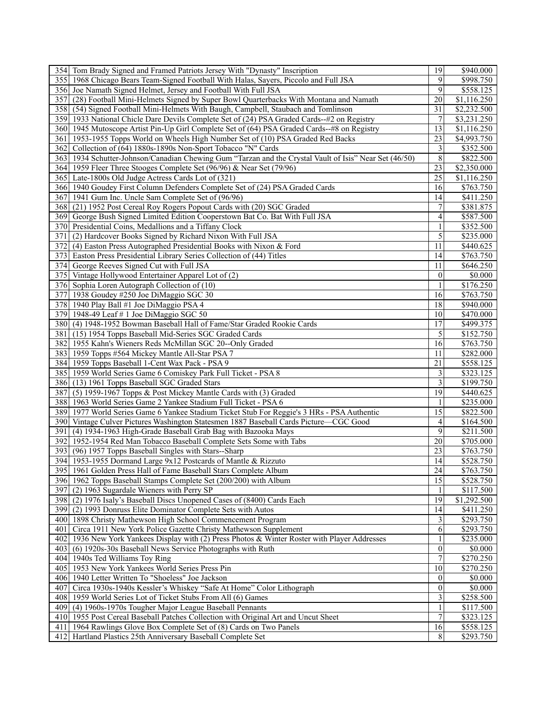|     | 354 Tom Brady Signed and Framed Patriots Jersey With "Dynasty" Inscription                             | 19                      | \$940.000             |
|-----|--------------------------------------------------------------------------------------------------------|-------------------------|-----------------------|
| 355 | 1968 Chicago Bears Team-Signed Football With Halas, Sayers, Piccolo and Full JSA                       | 9                       | \$998.750             |
|     | 356 Joe Namath Signed Helmet, Jersey and Football With Full JSA                                        | 9                       | \$558.125             |
| 357 | (28) Football Mini-Helmets Signed by Super Bowl Quarterbacks With Montana and Namath                   | 20                      | \$1,116.250           |
|     | 358 (54) Signed Football Mini-Helmets With Baugh, Campbell, Staubach and Tomlinson                     | 31                      | \$2,232.500           |
|     | 359 1933 National Chicle Dare Devils Complete Set of (24) PSA Graded Cards-#2 on Registry              | 7                       | \$3,231.250           |
|     |                                                                                                        | $\overline{13}$         |                       |
|     | 360 1945 Mutoscope Artist Pin-Up Girl Complete Set of (64) PSA Graded Cards--#8 on Registry            |                         | \$1,116.250           |
|     | 361 1953-1955 Topps World on Wheels High Number Set of (10) PSA Graded Red Backs                       | 23                      | \$4,993.750           |
|     | 362 Collection of (64) 1880s-1890s Non-Sport Tobacco "N" Cards                                         | 3                       | \$352.500             |
|     | 363 1934 Schutter-Johnson/Canadian Chewing Gum "Tarzan and the Crystal Vault of Isis" Near Set (46/50) | $\,8\,$                 | \$822.500             |
|     | 364 1959 Fleer Three Stooges Complete Set (96/96) & Near Set (79/96)                                   | 23                      | \$2,350.000           |
|     | 365 Late-1800s Old Judge Actress Cards Lot of (321)                                                    | 25                      | \$1,116.250           |
|     | 366 1940 Goudey First Column Defenders Complete Set of (24) PSA Graded Cards                           | 16                      | \$763.750             |
| 367 | 1941 Gum Inc. Uncle Sam Complete Set of (96/96)                                                        | 14                      | \$411.250             |
|     | 368 (21) 1952 Post Cereal Roy Rogers Popout Cards with (20) SGC Graded                                 | 7                       | \$381.875             |
|     | 369 George Bush Signed Limited Edition Cooperstown Bat Co. Bat With Full JSA                           | $\overline{4}$          | \$587.500             |
|     | 370 Presidential Coins, Medallions and a Tiffany Clock                                                 | $\mathbf{1}$            | \$352.500             |
| 371 | (2) Hardcover Books Signed by Richard Nixon With Full JSA                                              | 5                       | \$235.000             |
|     | 372 (4) Easton Press Autographed Presidential Books with Nixon & Ford                                  | 11                      | \$440.625             |
|     |                                                                                                        |                         |                       |
|     | 373 Easton Press Presidential Library Series Collection of (44) Titles                                 | 14                      | \$763.750             |
|     | 374 George Reeves Signed Cut with Full JSA                                                             | 11                      | \$646.250             |
|     | 375 Vintage Hollywood Entertainer Apparel Lot of (2)                                                   | $\boldsymbol{0}$        | \$0.000               |
|     | 376 Sophia Loren Autograph Collection of (10)                                                          |                         | \$176.250             |
| 377 | 1938 Goudey #250 Joe DiMaggio SGC 30                                                                   | 16                      | \$763.750             |
|     | 378 1940 Play Ball #1 Joe DiMaggio PSA 4                                                               | 18                      | \$940.000             |
|     | 379 1948-49 Leaf # 1 Joe DiMaggio SGC 50                                                               | 10                      | \$470.000             |
|     | 380 (4) 1948-1952 Bowman Baseball Hall of Fame/Star Graded Rookie Cards                                | 17                      | \$499.375             |
|     | 381 (15) 1954 Topps Baseball Mid-Series SGC Graded Cards                                               | 5                       | \$152.750             |
|     | 382 1955 Kahn's Wieners Reds McMillan SGC 20--Only Graded                                              | 16                      | \$763.750             |
|     | 383 1959 Topps #564 Mickey Mantle All-Star PSA 7                                                       | 11                      | \$282.000             |
|     | 384 1959 Topps Baseball 1-Cent Wax Pack - PSA 9                                                        | 21                      | \$558.125             |
|     | 385 1959 World Series Game 6 Comiskey Park Full Ticket - PSA 8                                         | 3                       | \$323.125             |
|     |                                                                                                        | 3                       |                       |
|     | 386 (13) 1961 Topps Baseball SGC Graded Stars                                                          | 19                      | \$199.750             |
| 387 | (5) 1959-1967 Topps & Post Mickey Mantle Cards with (3) Graded                                         |                         | \$440.625             |
|     | 388 1963 World Series Game 2 Yankee Stadium Full Ticket - PSA 6                                        |                         | \$235.000             |
|     | 389 1977 World Series Game 6 Yankee Stadium Ticket Stub For Reggie's 3 HRs - PSA Authentic             | 15                      | \$822.500             |
|     | 390 Vintage Culver Pictures Washington Statesmen 1887 Baseball Cards Picture—CGC Good                  | 4                       | \$164.500             |
| 391 | (4) 1934-1963 High-Grade Baseball Grab Bag with Bazooka Mays                                           | 9                       | \$211.500             |
|     | 392 1952-1954 Red Man Tobacco Baseball Complete Sets Some with Tabs                                    | 20                      | \$705.000             |
|     | 393 (96) 1957 Topps Baseball Singles with Stars--Sharp                                                 | 23                      | \$763.750             |
|     | 394 1953-1955 Dormand Large 9x12 Postcards of Mantle & Rizzuto                                         | 14                      | $\overline{$}528.750$ |
|     | 395 1961 Golden Press Hall of Fame Baseball Stars Complete Album                                       | $\overline{24}$         | \$763.750             |
|     | 396 1962 Topps Baseball Stamps Complete Set (200/200) with Album                                       | $\overline{15}$         | $\overline{$}528.750$ |
|     | 397 (2) 1963 Sugardale Wieners with Perry SP                                                           |                         | \$117.500             |
|     | 398 (2) 1976 Isaly's Baseball Discs Unopened Cases of (8400) Cards Each                                | 19                      | \$1,292.500           |
|     | 399 (2) 1993 Donruss Elite Dominator Complete Sets with Autos                                          | 14                      | \$411.250             |
|     | 400 1898 Christy Mathewson High School Commencement Program                                            | 3                       | \$293.750             |
|     |                                                                                                        |                         |                       |
| 401 | Circa 1911 New York Police Gazette Christy Mathewson Supplement                                        | 6                       | \$293.750             |
|     | 402 1936 New York Yankees Display with (2) Press Photos & Winter Roster with Player Addresses          | 1                       | \$235.000             |
|     | 403 (6) 1920s-30s Baseball News Service Photographs with Ruth                                          | $\mathbf{0}$            | \$0.000               |
|     | 404 1940s Ted Williams Toy Ring                                                                        | 7                       | \$270.250             |
|     | 405 1953 New York Yankees World Series Press Pin                                                       | 10                      | \$270.250             |
|     | 406 1940 Letter Written To "Shoeless" Joe Jackson                                                      | $\theta$                | \$0.000               |
| 407 | Circa 1930s-1940s Kessler's Whiskey "Safe At Home" Color Lithograph                                    | $\theta$                | \$0.000               |
|     | 408 1959 World Series Lot of Ticket Stubs From All (6) Games                                           | $\overline{\mathbf{3}}$ | \$258.500             |
|     | 409 (4) 1960s-1970s Tougher Major League Baseball Pennants                                             |                         | \$117.500             |
|     | 410 1955 Post Cereal Baseball Patches Collection with Original Art and Uncut Sheet                     | $\overline{7}$          | \$323.125             |
|     | 411   1964 Rawlings Glove Box Complete Set of (8) Cards on Two Panels                                  | 16                      | \$558.125             |
|     | 412 Hartland Plastics 25th Anniversary Baseball Complete Set                                           | 8                       | \$293.750             |
|     |                                                                                                        |                         |                       |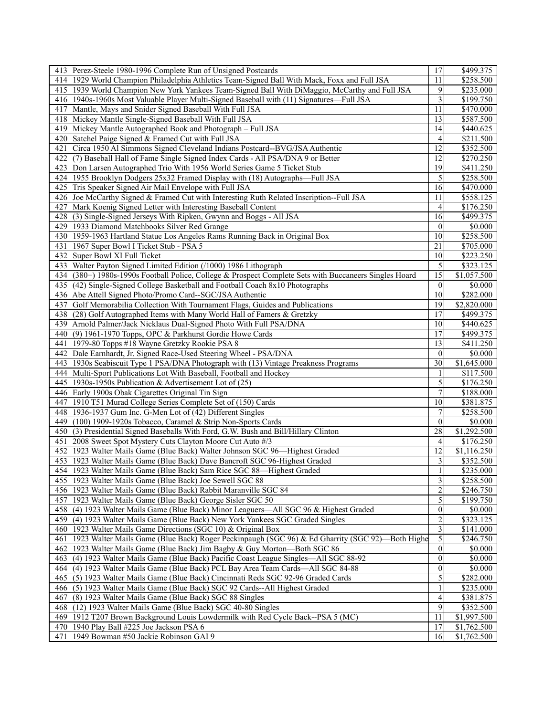|      | 413 Perez-Steele 1980-1996 Complete Run of Unsigned Postcards                                          | 17                        | \$499.375             |
|------|--------------------------------------------------------------------------------------------------------|---------------------------|-----------------------|
|      | 414 1929 World Champion Philadelphia Athletics Team-Signed Ball With Mack, Foxx and Full JSA           | 11                        | $\overline{$}258.500$ |
|      | 415 1939 World Champion New York Yankees Team-Signed Ball With DiMaggio, McCarthy and Full JSA         | 9                         | \$235.000             |
|      | 416 1940s-1960s Most Valuable Player Multi-Signed Baseball with (11) Signatures—Full JSA               | 3                         | \$199.750             |
|      | 417 Mantle, Mays and Snider Signed Baseball With Full JSA                                              | 11                        | \$470.000             |
|      | 418 Mickey Mantle Single-Signed Baseball With Full JSA                                                 | 13                        | \$587.500             |
|      | 419 Mickey Mantle Autographed Book and Photograph – Full JSA                                           | 14                        | \$440.625             |
| 420  | Satchel Paige Signed & Framed Cut with Full JSA                                                        | 4                         | \$211.500             |
|      |                                                                                                        | 12                        |                       |
| 421  | Circa 1950 Al Simmons Signed Cleveland Indians Postcard--BVG/JSA Authentic                             | 12                        | \$352.500             |
| 422  | (7) Baseball Hall of Fame Single Signed Index Cards - All PSA/DNA 9 or Better                          |                           | \$270.250             |
| 423  | Don Larsen Autographed Trio With 1956 World Series Game 5 Ticket Stub                                  | 19                        | \$411.250             |
|      | 424 1955 Brooklyn Dodgers 25x32 Framed Display with (18) Autographs—Full JSA                           | 5                         | \$258.500             |
|      | 425 Tris Speaker Signed Air Mail Envelope with Full JSA                                                | 16                        | \$470.000             |
|      | 426 Joe McCarthy Signed & Framed Cut with Interesting Ruth Related Inscription--Full JSA               | 11                        | \$558.125             |
|      | 427 Mark Koenig Signed Letter with Interesting Baseball Content                                        | 4                         | \$176.250             |
|      | 428 (3) Single-Signed Jerseys With Ripken, Gwynn and Boggs - All JSA                                   | 16                        | \$499.375             |
|      | 429 1933 Diamond Matchbooks Silver Red Grange                                                          | $\mathbf{0}$              | \$0.000               |
|      | 430 1959-1963 Hartland Statue Los Angeles Rams Running Back in Original Box                            | 10                        | \$258.500             |
|      | 431   1967 Super Bowl I Ticket Stub - PSA 5                                                            | 21                        | \$705.000             |
|      | 432 Super Bowl XI Full Ticket                                                                          | 10                        | \$223.250             |
|      | 433 Walter Payton Signed Limited Edition (/1000) 1986 Lithograph                                       | 5                         | \$323.125             |
|      | 434 (380+) 1980s-1990s Football Police, College & Prospect Complete Sets with Buccaneers Singles Hoard | $\overline{15}$           | \$1,057.500           |
|      | 435 (42) Single-Signed College Basketball and Football Coach 8x10 Photographs                          | $\theta$                  | \$0.000               |
|      | 436 Abe Attell Signed Photo/Promo Card--SGC/JSA Authentic                                              | 10                        | \$282.000             |
|      | 437 Golf Memorabilia Collection With Tournament Flags, Guides and Publications                         | 19                        | \$2,820.000           |
|      | 438 (28) Golf Autographed Items with Many World Hall of Famers & Gretzky                               | 17                        | $\overline{$}499.375$ |
|      |                                                                                                        | 10                        |                       |
|      | 439 Arnold Palmer/Jack Nicklaus Dual-Signed Photo With Full PSA/DNA                                    |                           | \$440.625             |
|      | 440 (9) 1961-1970 Topps, OPC & Parkhurst Gordie Howe Cards                                             | 17                        | \$499.375             |
|      | 441   1979-80 Topps #18 Wayne Gretzky Rookie PSA 8                                                     | 13                        | \$411.250             |
|      | 442 Dale Earnhardt, Jr. Signed Race-Used Steering Wheel - PSA/DNA                                      | $\mathbf{0}$              | \$0.000               |
|      | 443   1930s Seabiscuit Type 1 PSA/DNA Photograph with (13) Vintage Preakness Programs                  | 30                        | \$1,645.000           |
|      | 444   Multi-Sport Publications Lot With Baseball, Football and Hockey                                  | 1                         | \$117.500             |
|      | 445   1930s-1950s Publication & Advertisement Lot of (25)                                              | 5                         | \$176.250             |
|      | 446 Early 1900s Obak Cigarettes Original Tin Sign                                                      | $\boldsymbol{7}$          | \$188.000             |
|      | 447 1910 T51 Murad College Series Complete Set of (150) Cards                                          | 10                        | \$381.875             |
|      | 448 1936-1937 Gum Inc. G-Men Lot of (42) Different Singles                                             | 7                         | \$258.500             |
|      | 449 (100) 1909-1920s Tobacco, Caramel & Strip Non-Sports Cards                                         | $\mathbf{0}$              | \$0.000               |
|      | 450 (3) Presidential Signed Baseballs With Ford, G.W. Bush and Bill/Hillary Clinton                    | 28                        | \$1,292.500           |
|      | 451   2008 Sweet Spot Mystery Cuts Clayton Moore Cut Auto #/3                                          | 4                         | \$176.250             |
|      | 452 1923 Walter Mails Game (Blue Back) Walter Johnson SGC 96-Highest Graded                            | 12                        | \$1,116.250           |
|      | 453 1923 Walter Mails Game (Blue Back) Dave Bancroft SGC 96-Highest Graded                             | 3                         | \$352.500             |
|      | 454 1923 Walter Mails Game (Blue Back) Sam Rice SGC 88-Highest Graded                                  | $\overline{1}$            | \$235.000             |
|      | 455 1923 Walter Mails Game (Blue Back) Joe Sewell SGC 88                                               | $\overline{\overline{3}}$ | \$258.500             |
|      | 456   1923 Walter Mails Game (Blue Back) Rabbit Maranville SGC 84                                      | 2                         | \$246.750             |
|      | 457 1923 Walter Mails Game (Blue Back) George Sisler SGC 50                                            | 5                         | \$199.750             |
|      |                                                                                                        |                           |                       |
|      | 458 (4) 1923 Walter Mails Game (Blue Back) Minor Leaguers—All SGC 96 & Highest Graded                  | $\overline{0}$            | \$0.000               |
|      | 459 (4) 1923 Walter Mails Game (Blue Back) New York Yankees SGC Graded Singles                         | $\overline{2}$            | \$323.125             |
|      | 460 1923 Walter Mails Game Directions (SGC 10) & Original Box                                          | 3                         | \$141.000             |
|      | 461 1923 Walter Mails Game (Blue Back) Roger Peckinpaugh (SGC 96) & Ed Gharrity (SGC 92)—Both Highe    | 5                         | \$246.750             |
|      | 462 1923 Walter Mails Game (Blue Back) Jim Bagby & Guy Morton—Both SGC 86                              | $\theta$                  | \$0.000               |
| 4631 | (4) 1923 Walter Mails Game (Blue Back) Pacific Coast League Singles—All SGC 88-92                      | $\mathbf{0}$              | \$0.000               |
|      | 464 (4) 1923 Walter Mails Game (Blue Back) PCL Bay Area Team Cards—All SGC 84-88                       | $\mathbf{0}$              | \$0.000               |
|      | 465 (5) 1923 Walter Mails Game (Blue Back) Cincinnati Reds SGC 92-96 Graded Cards                      | 5                         | \$282.000             |
|      | 466 (5) 1923 Walter Mails Game (Blue Back) SGC 92 Cards--All Highest Graded                            | 1                         | \$235.000             |
| 467  | (8) 1923 Walter Mails Game (Blue Back) SGC 88 Singles                                                  | 4                         | \$381.875             |
| 4681 | (12) 1923 Walter Mails Game (Blue Back) SGC 40-80 Singles                                              | 9                         | \$352.500             |
|      | 469 1912 T207 Brown Background Louis Lowdermilk with Red Cycle Back--PSA 5 (MC)                        | 11                        | \$1,997.500           |
|      | 470 1940 Play Ball #225 Joe Jackson PSA 6                                                              | 17                        | \$1,762.500           |
|      | 471   1949 Bowman #50 Jackie Robinson GAI 9                                                            | 16                        | \$1,762.500           |
|      |                                                                                                        |                           |                       |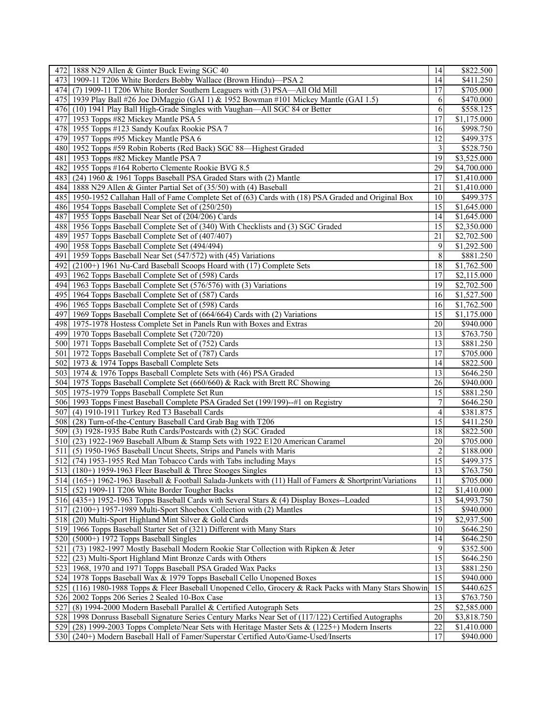| 472 1888 N29 Allen & Ginter Buck Ewing SGC 40                                                             | 14              | \$822.500             |
|-----------------------------------------------------------------------------------------------------------|-----------------|-----------------------|
| 473 1909-11 T206 White Borders Bobby Wallace (Brown Hindu)—PSA 2                                          | 14              | \$411.250             |
| 474 (7) 1909-11 T206 White Border Southern Leaguers with (3) PSA—All Old Mill                             | 17              | \$705.000             |
| 475 1939 Play Ball #26 Joe DiMaggio (GAI 1) & 1952 Bowman #101 Mickey Mantle (GAI 1.5)                    | 6               | \$470.000             |
| 476 (10) 1941 Play Ball High-Grade Singles with Vaughan—All SGC 84 or Better                              | 6               | \$558.125             |
| 477 1953 Topps #82 Mickey Mantle PSA 5                                                                    | 17              | \$1,175.000           |
|                                                                                                           |                 |                       |
| 478 1955 Topps #123 Sandy Koufax Rookie PSA 7                                                             | 16              | \$998.750             |
| 479 1957 Topps #95 Mickey Mantle PSA 6                                                                    | 12              | \$499.375             |
| 480 1952 Topps #59 Robin Roberts (Red Back) SGC 88—Highest Graded                                         | 3               | \$528.750             |
| 481 1953 Topps #82 Mickey Mantle PSA 7                                                                    | 19              | \$3,525.000           |
| 482 1955 Topps #164 Roberto Clemente Rookie BVG 8.5                                                       | 29              | \$4,700.000           |
| 483 (24) 1960 & 1961 Topps Baseball PSA Graded Stars with (2) Mantle                                      | 17              | \$1,410.000           |
| 484 1888 N29 Allen & Ginter Partial Set of (35/50) with (4) Baseball                                      | 21              | \$1,410.000           |
| 485 1950-1952 Callahan Hall of Fame Complete Set of (63) Cards with (18) PSA Graded and Original Box      | 10              | \$499.375             |
| 486 1954 Topps Baseball Complete Set of (250/250)                                                         | 15              | \$1,645.000           |
| 487 1955 Topps Baseball Near Set of (204/206) Cards                                                       | 14              | \$1,645.000           |
| 488 1956 Topps Baseball Complete Set of (340) With Checklists and (3) SGC Graded                          | 15              | \$2,350.000           |
| 489 1957 Topps Baseball Complete Set of (407/407)                                                         | 21              | \$2,702.500           |
|                                                                                                           |                 |                       |
| 490 1958 Topps Baseball Complete Set (494/494)                                                            | 9               | \$1,292.500           |
| 491 1959 Topps Baseball Near Set (547/572) with (45) Variations                                           | 8               | \$881.250             |
| 492 (2100+) 1961 Nu-Card Baseball Scoops Hoard with (17) Complete Sets                                    | 18              | \$1,762.500           |
| 493 1962 Topps Baseball Complete Set of (598) Cards                                                       | 17              | \$2,115.000           |
| 494 1963 Topps Baseball Complete Set (576/576) with (3) Variations                                        | 19              | \$2,702.500           |
| 495 1964 Topps Baseball Complete Set of (587) Cards                                                       | 16              | \$1,527.500           |
| 496 1965 Topps Baseball Complete Set of (598) Cards                                                       | 16              | \$1,762.500           |
| 497 1969 Topps Baseball Complete Set of (664/664) Cards with (2) Variations                               | 15              | \$1,175.000           |
| 498 1975-1978 Hostess Complete Set in Panels Run with Boxes and Extras                                    | 20              | \$940.000             |
| 499 1970 Topps Baseball Complete Set (720/720)                                                            | 13              | \$763.750             |
| 500 1971 Topps Baseball Complete Set of (752) Cards                                                       | 13              | \$881.250             |
| 501   1972 Topps Baseball Complete Set of (787) Cards                                                     | 17              | \$705.000             |
| 502 1973 & 1974 Topps Baseball Complete Sets                                                              | 14              | $\overline{$822.500}$ |
|                                                                                                           | 13              |                       |
| 503 1974 & 1976 Topps Baseball Complete Sets with (46) PSA Graded                                         |                 | \$646.250             |
| 504 1975 Topps Baseball Complete Set (660/660) & Rack with Brett RC Showing                               | 26              | \$940.000             |
| 505 1975-1979 Topps Baseball Complete Set Run                                                             | 15              | \$881.250             |
| 506 1993 Topps Finest Baseball Complete PSA Graded Set (199/199)--#1 on Registry                          | 7               | \$646.250             |
| 507 (4) 1910-1911 Turkey Red T3 Baseball Cards                                                            | 4               | \$381.875             |
| 508 (28) Turn-of-the-Century Baseball Card Grab Bag with T206                                             | 15              | \$411.250             |
| 509 (3) 1928-1935 Babe Ruth Cards/Postcards with (2) SGC Graded                                           | 18              | \$822.500             |
| 510 (23) 1922-1969 Baseball Album & Stamp Sets with 1922 E120 American Caramel                            | 20              | \$705.000             |
| (5) 1950-1965 Baseball Uncut Sheets, Strips and Panels with Maris<br>5111                                 | 2               | \$188.000             |
| 512 (74) 1953-1955 Red Man Tobacco Cards with Tabs including Mays                                         | 15              | \$499.375             |
| 513 (180+) 1959-1963 Fleer Baseball & Three Stooges Singles                                               | $\overline{13}$ | \$763.750             |
| 514 (165+) 1962-1963 Baseball & Football Salada-Junkets with (11) Hall of Famers & Shortprint/Variations  | 11              | \$705.000             |
| 515 (52) 1909-11 T206 White Border Tougher Backs                                                          | 12              | \$1,410.000           |
|                                                                                                           | 13              |                       |
| 516 (435+) 1952-1963 Topps Baseball Cards with Several Stars & (4) Display Boxes--Loaded                  |                 | \$4,993.750           |
| $517$ (2100+) 1957-1989 Multi-Sport Shoebox Collection with (2) Mantles                                   | 15              | \$940.000             |
| 518 (20) Multi-Sport Highland Mint Silver & Gold Cards                                                    | 19              | \$2,937.500           |
| 519 1966 Topps Baseball Starter Set of (321) Different with Many Stars                                    | 10              | \$646.250             |
| $520(5000+)$ 1972 Topps Baseball Singles                                                                  | 14              | \$646.250             |
| (73) 1982-1997 Mostly Baseball Modern Rookie Star Collection with Ripken & Jeter<br>521                   | 9               | \$352.500             |
| 522 (23) Multi-Sport Highland Mint Bronze Cards with Others                                               | $\overline{15}$ | \$646.250             |
| 523 1968, 1970 and 1971 Topps Baseball PSA Graded Wax Packs                                               | 13              | $\overline{$881.250}$ |
| 524 1978 Topps Baseball Wax & 1979 Topps Baseball Cello Unopened Boxes                                    | 15              | \$940.000             |
| (116) 1980-1988 Topps & Fleer Baseball Unopened Cello, Grocery & Rack Packs with Many Stars Showin<br>525 | $\overline{15}$ | \$440.625             |
| 526 2002 Topps 206 Series 2 Sealed 10-Box Case                                                            | 13              | \$763.750             |
| (8) 1994-2000 Modern Baseball Parallel & Certified Autograph Sets<br>527                                  | 25              | \$2,585.000           |
| 528 1998 Donruss Baseball Signature Series Century Marks Near Set of (117/122) Certified Autographs       | 20              | \$3,818.750           |
|                                                                                                           | 22              |                       |
| 529 (28) 1999-2003 Topps Complete/Near Sets with Heritage Master Sets & (1225+) Modern Inserts            |                 | \$1,410.000           |
| 530 (240+) Modern Baseball Hall of Famer/Superstar Certified Auto/Game-Used/Inserts                       | 17              | \$940.000             |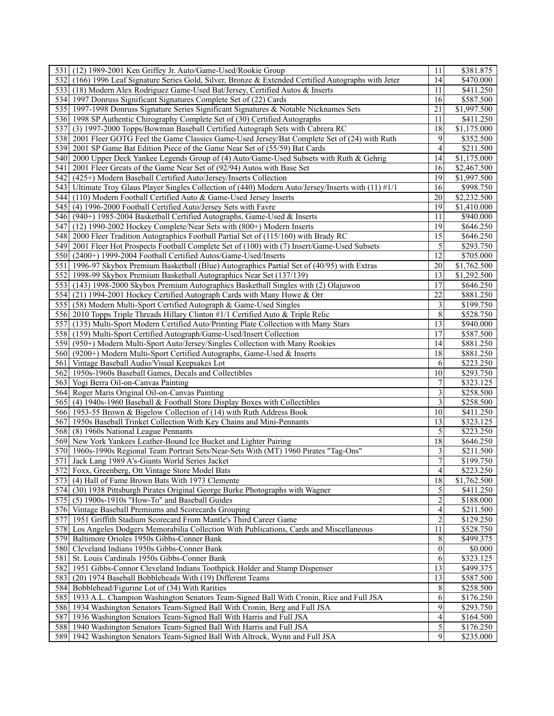| 531 (12) 1989-2001 Ken Griffey Jr. Auto/Game-Used/Rookie Group                                           | 11              | \$381.875                          |
|----------------------------------------------------------------------------------------------------------|-----------------|------------------------------------|
| (166) 1996 Leaf Signature Series Gold, Silver, Bronze & Extended Certified Autographs with Jeter<br>532I | 14              | \$470.000                          |
| 533 (18) Modern Alex Rodriguez Game-Used Bat/Jersey, Certified Autos & Inserts                           | 11              | \$411.250                          |
| 534 1997 Donruss Significant Signatures Complete Set of (22) Cards                                       | 16              | \$587.500                          |
| 535 1997-1998 Donruss Signature Series Significant Signatures & Notable Nicknames Sets                   | 21              | $\overline{$1,997.500}$            |
| 536 1998 SP Authentic Chirography Complete Set of (30) Certified Autographs                              | 11              | \$411.250                          |
| 537<br>(3) 1997-2000 Topps/Bowman Baseball Certified Autograph Sets with Cabrera RC                      | 18              | \$1,175.000                        |
| 538 2001 Fleer GOTG Feel the Game Classics Game-Used Jersey/Bat Complete Set of (24) with Ruth           | 9               | \$352.500                          |
| 539 2001 SP Game Bat Edition Piece of the Game Near Set of (55/59) Bat Cards                             | 4               | \$211.500                          |
| 540   2000 Upper Deck Yankee Legends Group of (4) Auto/Game-Used Subsets with Ruth & Gehrig              | 4               | \$1,175.000                        |
| 541<br>2001 Fleer Greats of the Game Near Set of (92/94) Autos with Base Set                             | 16              | $\overline{$}2,467.500$            |
| 542<br>(425+) Modern Baseball Certified Auto/Jersey/Inserts Collection                                   | 19              | \$1,997.500                        |
| 543 Ultimate Troy Glaus Player Singles Collection of (440) Modern Auto/Jersey/Inserts with (11) #1/1     | 16              | \$998.750                          |
| 544 (110) Modern Football Certified Auto & Game-Used Jersey Inserts                                      | 20              | $\overline{$2,232.500}$            |
| 545 (4) 1996-2000 Football Certified Auto/Jersey Sets with Favre                                         | 19              | \$1,410.000                        |
| 546 (940+) 1985-2004 Basketball Certified Autographs, Game-Used & Inserts                                | 11              | \$940.000                          |
| 547<br>$(12)$ 1990-2002 Hockey Complete/Near Sets with $(800+)$ Modern Inserts                           | 19              | \$646.250                          |
|                                                                                                          | 15              |                                    |
| 548   2000 Fleer Tradition Autographics Football Partial Set of (115/160) with Brady RC                  | 5               | \$646.250                          |
| 2001 Fleer Hot Prospects Football Complete Set of (100) with (7) Insert/Game-Used Subsets<br>5491        |                 | \$293.750                          |
| 550 (2400+) 1999-2004 Football Certified Autos/Game-Used/Inserts                                         | 12              | \$705.000                          |
| 551<br>1996-97 Skybox Premium Basketball (Blue) Autographics Partial Set of (40/95) with Extras          | 20              | \$1,762.500                        |
| 552 1998-99 Skybox Premium Basketball Autographics Near Set (137/139)                                    | 13              | \$1,292.500                        |
| 553 (143) 1998-2000 Skybox Premium Autographics Basketball Singles with (2) Olajuwon                     | 17              | \$646.250                          |
| 554 (21) 1994-2001 Hockey Certified Autograph Cards with Many Howe & Orr                                 | 22              | \$881.250                          |
| 555 (58) Modern Multi-Sport Certified Autograph & Game-Used Singles                                      | 3               | \$199.750                          |
| 556 2010 Topps Triple Threads Hillary Clinton #1/1 Certified Auto & Triple Relic                         | $\,$ $\,$       | \$528.750                          |
| 557 (135) Multi-Sport Modern Certified Auto/Printing Plate Collection with Many Stars                    | $\overline{13}$ | \$940.000                          |
| 558 (159) Multi-Sport Certified Autograph/Game-Used/Insert Collection                                    | 17              | \$587.500                          |
| 559 (950+) Modern Multi-Sport Auto/Jersey/Singles Collection with Many Rookies                           | 14              | \$881.250                          |
| 560 (9200+) Modern Multi-Sport Certified Autographs, Game-Used & Inserts                                 | 18              | \$881.250                          |
| 561 Vintage Baseball Audio/Visual Keepsakes Lot                                                          | 6<br>10         | $\overline{$}223.250$<br>\$293.750 |
| 562 1950s-1960s Baseball Games, Decals and Collectibles<br>563 Yogi Berra Oil-on-Canvas Painting         | 7               | \$323.125                          |
| 564 Roger Maris Original Oil-on-Canvas Painting                                                          | 3               | \$258.500                          |
| 565 (4) 1940s-1960 Baseball & Football Store Display Boxes with Collectibles                             | 3               | \$258.500                          |
| 566 1953-55 Brown & Bigelow Collection of (14) with Ruth Address Book                                    | 10              | \$411.250                          |
| 567 1950s Baseball Trinket Collection With Key Chains and Mini-Pennants                                  | 13              | \$323.125                          |
| 568 (8) 1960s National League Pennants                                                                   | 5               | \$223.250                          |
| 569 New York Yankees Leather-Bound Ice Bucket and Lighter Pairing                                        | 18              | \$646.250                          |
| 570   1960s-1990s Regional Team Portrait Sets/Near-Sets With (MT) 1960 Pirates "Tag-Ons"                 | 3               | \$211.500                          |
| 571 Jack Lang 1989 A's-Giants World Series Jacket                                                        | $\overline{7}$  | \$199.750                          |
| 572 Foxx, Greenberg, Ott Vintage Store Model Bats                                                        | 4               | \$223.250                          |
| 573 (4) Hall of Fame Brown Bats With 1973 Clemente                                                       | $\overline{18}$ | \$1,762.500                        |
| 574 (30) 1938 Pittsburgh Pirates Original George Burke Photographs with Wagner                           | 5               | \$411.250                          |
| 575 (5) 1900s-1910s "How-To" and Baseball Guides                                                         | $\overline{2}$  | \$188.000                          |
| 576 Vintage Baseball Premiums and Scorecards Grouping                                                    | 4               | \$211.500                          |
| 1951 Griffith Stadium Scorecard From Mantle's Third Career Game<br>577                                   | $\overline{2}$  | \$129.250                          |
| 578 Los Angeles Dodgers Memorabilia Collection With Publications, Cards and Miscellaneous                | 11              | \$528.750                          |
| 579 Baltimore Orioles 1950s Gibbs-Conner Bank                                                            | 8               | \$499.375                          |
| 580 Cleveland Indians 1950s Gibbs-Conner Bank                                                            | $\theta$        | \$0.000                            |
| 581 St. Louis Cardinals 1950s Gibbs-Conner Bank                                                          | 6               | \$323.125                          |
| 582 1951 Gibbs-Connor Cleveland Indians Toothpick Holder and Stamp Dispenser                             | $\overline{13}$ | \$499.375                          |
| 583 (20) 1974 Baseball Bobbleheads With (19) Different Teams                                             | 13              | \$587.500                          |
| 584<br>Bobblehead/Figurine Lot of (34) With Rarities                                                     | 8               | \$258.500                          |
| 585 1933 A.L. Champion Washington Senators Team-Signed Ball With Cronin, Rice and Full JSA               | 6               | \$176.250                          |
| 586 1934 Washington Senators Team-Signed Ball With Cronin, Berg and Full JSA                             | 9               | \$293.750                          |
| 587 1936 Washington Senators Team-Signed Ball With Harris and Full JSA                                   | 4               | \$164.500                          |
| 588 1940 Washington Senators Team-Signed Ball With Harris and Full JSA                                   | $\vert 5 \vert$ | \$176.250                          |
| 589 1942 Washington Senators Team-Signed Ball With Altrock, Wynn and Full JSA                            | 9               | \$235.000                          |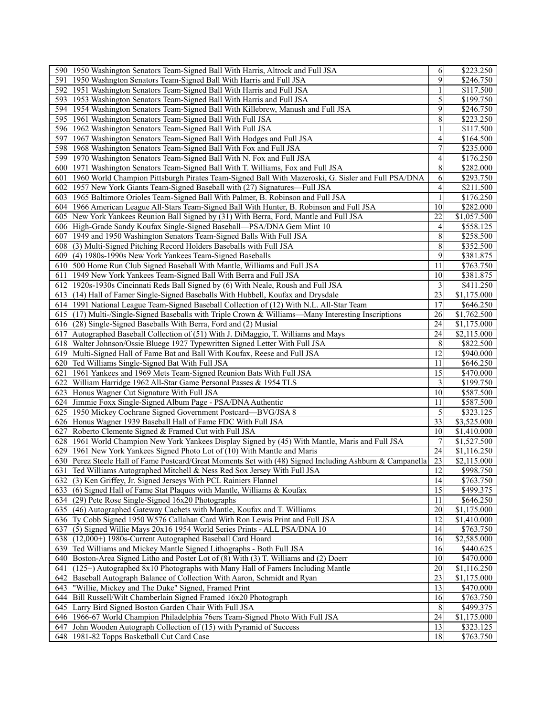| 590 1950 Washington Senators Team-Signed Ball With Harris, Altrock and Full JSA                                                          | 6               | \$223.250              |
|------------------------------------------------------------------------------------------------------------------------------------------|-----------------|------------------------|
| 591<br>1950 Washngton Senators Team-Signed Ball With Harris and Full JSA                                                                 | 9               | \$246.750              |
| 592<br>1951 Washington Senators Team-Signed Ball With Harris and Full JSA                                                                |                 | \$117.500              |
| 593 1953 Washington Senators Team-Signed Ball With Harris and Full JSA                                                                   | 5               | \$199.750              |
| 594 1954 Washington Senators Team-Signed Ball With Killebrew, Manush and Full JSA                                                        | 9               | \$246.750              |
| 595 1961 Washington Senators Team-Signed Ball With Full JSA                                                                              | 8               | \$223.250              |
| 596 1962 Washington Senators Team-Signed Ball With Full JSA                                                                              | 1               | \$117.500              |
| 597<br>1967 Washington Senators Team-Signed Ball With Hodges and Full JSA                                                                | 4               | \$164.500              |
| 598 1968 Washington Senators Team-Signed Ball With Fox and Full JSA                                                                      | 7               | \$235.000              |
| 599 1970 Washington Senators Team-Signed Ball With N. Fox and Full JSA                                                                   | 4               | \$176.250              |
| 600 1971 Washington Senators Team-Signed Ball With T. Williams, Fox and Full JSA                                                         | 8               | $\overline{$}282.000$  |
| 601 1960 World Champion Pittsburgh Pirates Team-Signed Ball With Mazeroski, G. Sisler and Full PSA/DNA                                   | 6               | \$293.750              |
| 602<br>1957 New York Giants Team-Signed Baseball with (27) Signatures-Full JSA                                                           | 4               | \$211.500              |
| 603 1965 Baltimore Orioles Team-Signed Ball With Palmer, B. Robinson and Full JSA                                                        | 1               | \$176.250              |
|                                                                                                                                          | 10              | \$282.000              |
| 604 1966 American League All-Stars Team-Signed Ball With Hunter, B. Robinson and Full JSA                                                | 22              |                        |
| 605 New York Yankees Reunion Ball Signed by (31) With Berra, Ford, Mantle and Full JSA                                                   | 4               | \$1,057.500            |
| 606 High-Grade Sandy Koufax Single-Signed Baseball—PSA/DNA Gem Mint 10                                                                   |                 | \$558.125              |
| 1949 and 1950 Washington Senators Team-Signed Balls With Full JSA<br>607                                                                 | 8               | \$258.500              |
| (3) Multi-Signed Pitching Record Holders Baseballs with Full JSA<br>6081                                                                 | 8               | \$352.500              |
| 609 (4) 1980s-1990s New York Yankees Team-Signed Baseballs                                                                               | 9               | \$381.875              |
| 610 500 Home Run Club Signed Baseball With Mantle, Williams and Full JSA                                                                 | 11              | \$763.750              |
| 611 1949 New York Yankees Team-Signed Ball With Berra and Full JSA                                                                       | 10              | \$381.875              |
| 612 1920s-1930s Cincinnati Reds Ball Signed by (6) With Neale, Roush and Full JSA                                                        | 3               | \$411.250              |
| 613 (14) Hall of Famer Single-Signed Baseballs With Hubbell, Koufax and Drysdale                                                         | 23              | \$1,175.000            |
| 614 1991 National League Team-Signed Baseball Collection of (12) With N.L. All-Star Team                                                 | 17              | \$646.250              |
| 615 (17) Multi-/Single-Signed Baseballs with Triple Crown & Williams—Many Interesting Inscriptions                                       | 26              | \$1,762.500            |
| 616 (28) Single-Signed Baseballs With Berra, Ford and (2) Musial                                                                         | 24              | \$1,175.000            |
| 617 Autographed Baseball Collection of (51) With J. DiMaggio, T. Williams and Mays                                                       | 24              | \$2,115.000            |
| 618 Walter Johnson/Ossie Bluege 1927 Typewritten Signed Letter With Full JSA                                                             | 8               | \$822.500              |
| 619 Multi-Signed Hall of Fame Bat and Ball With Koufax, Reese and Full JSA                                                               | 12              | \$940.000              |
| 620 Ted Williams Single-Signed Bat With Full JSA                                                                                         | 11              | \$646.250              |
| 621<br>1961 Yankees and 1969 Mets Team-Signed Reunion Bats With Full JSA                                                                 | 15              | \$470.000              |
| 622 William Harridge 1962 All-Star Game Personal Passes & 1954 TLS                                                                       | 3               | \$199.750              |
| 623 Honus Wagner Cut Signature With Full JSA                                                                                             | 10              | \$587.500              |
| 624 Jimmie Foxx Single-Signed Album Page - PSA/DNA Authentic                                                                             | 11              | \$587.500              |
| 625 1950 Mickey Cochrane Signed Government Postcard—BVG/JSA 8                                                                            | 5               | \$323.125              |
| 626 Honus Wagner 1939 Baseball Hall of Fame FDC With Full JSA                                                                            | 33              | \$3,525.000            |
| 627<br>Roberto Clemente Signed & Framed Cut with Full JSA                                                                                | 10              | \$1,410.000            |
| 628 1961 World Champion New York Yankees Display Signed by (45) With Mantle, Maris and Full JSA                                          | 7               | \$1,527.500            |
| 629 1961 New York Yankees Signed Photo Lot of (10) With Mantle and Maris                                                                 | 24              | \$1,116.250            |
| 630 Perez Steele Hall of Fame Postcard/Great Moments Set with (48) Signed Including Ashburn & Campanella                                 | 23              | \$2,115.000            |
| 631 Ted Williams Autographed Mitchell & Ness Red Sox Jersey With Full JSA                                                                | 12              | \$998.750              |
| 632 (3) Ken Griffey, Jr. Signed Jerseys With PCL Rainiers Flannel                                                                        | 14              | $\overline{$}763.750$  |
| 633 (6) Signed Hall of Fame Stat Plaques with Mantle, Williams & Koufax                                                                  | 15              | \$499.375              |
| 634 (29) Pete Rose Single-Signed 16x20 Photographs                                                                                       | 11              | \$646.250              |
| 635 (46) Autographed Gateway Cachets with Mantle, Koufax and T. Williams                                                                 | 20              | \$1,175.000            |
| 636 Ty Cobb Signed 1950 W576 Callahan Card With Ron Lewis Print and Full JSA                                                             | $\overline{12}$ | \$1,410.000            |
| (5) Signed Willie Mays 20x16 1954 World Series Prints - ALL PSA/DNA 10<br>637                                                            | 14              | \$763.750              |
| 638 (12,000+) 1980s-Current Autographed Baseball Card Hoard                                                                              | 16              | \$2,585.000            |
| 639 Ted Williams and Mickey Mantle Signed Lithographs - Both Full JSA                                                                    | 16              | \$440.625              |
| 640 Boston-Area Signed Litho and Poster Lot of (8) With (3) T. Williams and (2) Doerr                                                    | 10              | \$470.000              |
| (125+) Autographed 8x10 Photographs with Many Hall of Famers Including Mantle<br>641                                                     | 20              | $\overline{1,116.250}$ |
| Baseball Autograph Balance of Collection With Aaron, Schmidt and Ryan<br>642                                                             | 23              | \$1,175.000            |
|                                                                                                                                          | 13              |                        |
| 643<br>"Willie, Mickey and The Duke" Signed, Framed Print                                                                                |                 | \$470.000              |
| 644 Bill Russell/Wilt Chamberlain Signed Framed 16x20 Photograph                                                                         | 16              | \$763.750              |
| 645 Larry Bird Signed Boston Garden Chair With Full JSA<br>646 1966-67 World Champion Philadelphia 76ers Team-Signed Photo With Full JSA | 8               | \$499.375              |
|                                                                                                                                          |                 |                        |
|                                                                                                                                          | 24              | \$1,175.000            |
| 647 John Wooden Autograph Collection of (15) with Pyramid of Success<br>648 1981-82 Topps Basketball Cut Card Case                       | 13<br>18        | \$323.125<br>\$763.750 |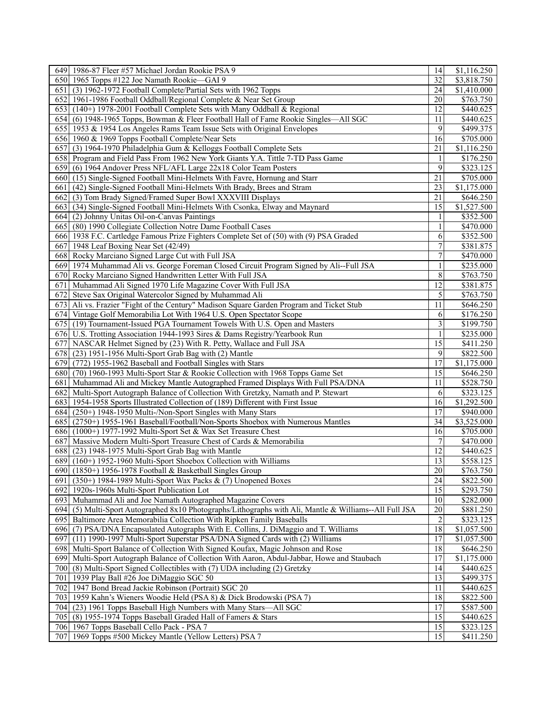| 32<br>650 1965 Topps #122 Joe Namath Rookie—GAI 9<br>\$3,818.750<br>(3) 1962-1972 Football Complete/Partial Sets with 1962 Topps<br>24<br>\$1,410.000<br>651 I<br>652 1961-1986 Football Oddball/Regional Complete & Near Set Group<br>20<br>\$763.750<br>12<br>653 (140+) 1978-2001 Football Complete Sets with Many Oddball & Regional<br>\$440.625<br>11<br>654 (6) 1948-1965 Topps, Bowman & Fleer Football Hall of Fame Rookie Singles—All SGC<br>\$440.625<br>9<br>\$499.375<br>655 1953 & 1954 Los Angeles Rams Team Issue Sets with Original Envelopes<br>656 1960 & 1969 Topps Football Complete/Near Sets<br>16<br>\$705.000<br>657 (3) 1964-1970 Philadelphia Gum & Kelloggs Football Complete Sets<br>21<br>\$1,116.250<br>658 Program and Field Pass From 1962 New York Giants Y.A. Tittle 7-TD Pass Game<br>\$176.250<br>1<br>9<br>\$323.125<br>659 (6) 1964 Andover Press NFL/AFL Large 22x18 Color Team Posters<br>\$705.000<br>660 (15) Single-Signed Football Mini-Helmets With Favre, Hornung and Starr<br>21<br>\$1,175.000<br>(42) Single-Signed Football Mini-Helmets With Brady, Brees and Stram<br>23<br>661 I<br>21<br>662 (3) Tom Brady Signed/Framed Super Bowl XXXVIII Displays<br>\$646.250<br>663 (34) Single-Signed Football Mini-Helmets With Csonka, Elway and Maynard<br>15<br>\$1,527.500<br>\$352.500<br>664 (2) Johnny Unitas Oil-on-Canvas Paintings<br>665 (80) 1990 Collegiate Collection Notre Dame Football Cases<br>\$470.000<br>1<br>6<br>666 1938 F.C. Cartledge Famous Prize Fighters Complete Set of (50) with (9) PSA Graded<br>\$352.500<br>$\tau$<br>667 1948 Leaf Boxing Near Set (42/49)<br>\$381.875<br>7<br>668 Rocky Marciano Signed Large Cut with Full JSA<br>\$470.000<br>\$235.000<br>669 1974 Muhammad Ali vs. George Foreman Closed Circuit Program Signed by Ali--Full JSA<br>1<br>8<br>\$763.750<br>670 Rocky Marciano Signed Handwritten Letter With Full JSA<br>12<br>\$381.875<br>671 Muhammad Ali Signed 1970 Life Magazine Cover With Full JSA<br>5<br>672 Steve Sax Original Watercolor Signed by Muhammad Ali<br>\$763.750<br>673 Ali vs. Frazier "Fight of the Century" Madison Square Garden Program and Ticket Stub<br>11<br>\$646.250<br>674 Vintage Golf Memorabilia Lot With 1964 U.S. Open Spectator Scope<br>\$176.250<br>6<br>3<br>675 (19) Tournament-Issued PGA Tournament Towels With U.S. Open and Masters<br>\$199.750<br>676 U.S. Trotting Association 1944-1993 Sires & Dams Registry/Yearbook Run<br>$\mathbf{1}$<br>\$235.000<br>$\overline{15}$<br>677 NASCAR Helmet Signed by (23) With R. Petty, Wallace and Full JSA<br>\$411.250<br>$\overline{9}$<br>678 (23) 1951-1956 Multi-Sport Grab Bag with (2) Mantle<br>\$822.500<br>17<br>679 (772) 1955-1962 Baseball and Football Singles with Stars<br>$\overline{$1,175.000}$<br>15<br>680 (70) 1960-1993 Multi-Sport Star & Rookie Collection with 1968 Topps Game Set<br>\$646.250<br>\$528.750<br>Muhammad Ali and Mickey Mantle Autographed Framed Displays With Full PSA/DNA<br>11<br>681 I<br>682 Multi-Sport Autograph Balance of Collection With Gretzky, Namath and P. Stewart<br>\$323.125<br>6<br>683 1954-1958 Sports Illustrated Collection of (189) Different with First Issue<br>16<br>\$1,292.500<br>17<br>684 (250+) 1948-1950 Multi-/Non-Sport Singles with Many Stars<br>\$940.000<br>34<br>\$3,525.000<br>685 (2750+) 1955-1961 Baseball/Football/Non-Sports Shoebox with Numerous Mantles<br>\$705.000<br>686 (1000+) 1977-1992 Multi-Sport Set & Wax Set Treasure Chest<br>16<br>7<br>687 Massive Modern Multi-Sport Treasure Chest of Cards & Memorabilia<br>\$470.000<br>688 (23) 1948-1975 Multi-Sport Grab Bag with Mantle<br>12<br>\$440.625<br>13<br>689 (160+) 1952-1960 Multi-Sport Shoebox Collection with Williams<br>\$558.125<br>20<br>\$763.750<br>690 (1850+) 1956-1978 Football & Basketball Singles Group<br>24<br>691 (350+) 1984-1989 Multi-Sport Wax Packs & (7) Unopened Boxes<br>\$822.500<br>15<br>692 1920s-1960s Multi-Sport Publication Lot<br>\$293.750<br>10<br>693 Muhammad Ali and Joe Namath Autographed Magazine Covers<br>$\overline{$}282.000$<br>20 <sup>°</sup><br>(5) Multi-Sport Autographed 8x10 Photographs/Lithographs with Ali, Mantle & Williams--All Full JSA<br>\$881.250<br>694<br>$\boldsymbol{2}$<br>695<br>Baltimore Area Memorabilia Collection With Ripken Family Baseballs<br>\$323.125<br>$\overline{18}$<br>696 (7) PSA/DNA Encapsulated Autographs With E. Collins, J. DiMaggio and T. Williams<br>\$1,057.500<br>17<br>697<br>(11) 1990-1997 Multi-Sport Superstar PSA/DNA Signed Cards with (2) Williams<br>\$1,057.500<br>18<br>Multi-Sport Balance of Collection With Signed Koufax, Magic Johnson and Rose<br>698<br>\$646.250<br>17<br>699 Multi-Sport Autograph Balance of Collection With Aaron, Abdul-Jabbar, Howe and Staubach<br>\$1,175.000<br>700<br>(8) Multi-Sport Signed Collectibles with (7) UDA including (2) Gretzky<br>14<br>\$440.625<br>13<br>701<br>1939 Play Ball #26 Joe DiMaggio SGC 50<br>\$499.375<br>702 1947 Bond Bread Jackie Robinson (Portrait) SGC 20<br>11<br>\$440.625<br>18<br>\$822.500<br>703<br>1959 Kahn's Wieners Woodie Held (PSA 8) & Dick Brodowski (PSA 7)<br>17<br>704 (23) 1961 Topps Baseball High Numbers with Many Stars—All SGC<br>\$587.500<br>705<br>(8) 1955-1974 Topps Baseball Graded Hall of Famers & Stars<br>15<br>\$440.625<br>706 1967 Topps Baseball Cello Pack - PSA 7<br>15<br>\$323.125<br>707 1969 Topps #500 Mickey Mantle (Yellow Letters) PSA 7<br>15<br>\$411.250 | 649 1986-87 Fleer #57 Michael Jordan Rookie PSA 9 | 14 | \$1,116.250 |
|------------------------------------------------------------------------------------------------------------------------------------------------------------------------------------------------------------------------------------------------------------------------------------------------------------------------------------------------------------------------------------------------------------------------------------------------------------------------------------------------------------------------------------------------------------------------------------------------------------------------------------------------------------------------------------------------------------------------------------------------------------------------------------------------------------------------------------------------------------------------------------------------------------------------------------------------------------------------------------------------------------------------------------------------------------------------------------------------------------------------------------------------------------------------------------------------------------------------------------------------------------------------------------------------------------------------------------------------------------------------------------------------------------------------------------------------------------------------------------------------------------------------------------------------------------------------------------------------------------------------------------------------------------------------------------------------------------------------------------------------------------------------------------------------------------------------------------------------------------------------------------------------------------------------------------------------------------------------------------------------------------------------------------------------------------------------------------------------------------------------------------------------------------------------------------------------------------------------------------------------------------------------------------------------------------------------------------------------------------------------------------------------------------------------------------------------------------------------------------------------------------------------------------------------------------------------------------------------------------------------------------------------------------------------------------------------------------------------------------------------------------------------------------------------------------------------------------------------------------------------------------------------------------------------------------------------------------------------------------------------------------------------------------------------------------------------------------------------------------------------------------------------------------------------------------------------------------------------------------------------------------------------------------------------------------------------------------------------------------------------------------------------------------------------------------------------------------------------------------------------------------------------------------------------------------------------------------------------------------------------------------------------------------------------------------------------------------------------------------------------------------------------------------------------------------------------------------------------------------------------------------------------------------------------------------------------------------------------------------------------------------------------------------------------------------------------------------------------------------------------------------------------------------------------------------------------------------------------------------------------------------------------------------------------------------------------------------------------------------------------------------------------------------------------------------------------------------------------------------------------------------------------------------------------------------------------------------------------------------------------------------------------------------------------------------------------------------------------------------------------------------------------------------------------------------------------------------------------------------------------------------------------------------------------------------------------------------------------------------------------------------------------------------------------------------------------------------------------------------------------------------------------------------------------------------------------------------------------------------------------------------------------------------------------------------------------------------------------------------------------------------------------------------------------------------------------------------------------------------------------------------------------------------------------------------------|---------------------------------------------------|----|-------------|
|                                                                                                                                                                                                                                                                                                                                                                                                                                                                                                                                                                                                                                                                                                                                                                                                                                                                                                                                                                                                                                                                                                                                                                                                                                                                                                                                                                                                                                                                                                                                                                                                                                                                                                                                                                                                                                                                                                                                                                                                                                                                                                                                                                                                                                                                                                                                                                                                                                                                                                                                                                                                                                                                                                                                                                                                                                                                                                                                                                                                                                                                                                                                                                                                                                                                                                                                                                                                                                                                                                                                                                                                                                                                                                                                                                                                                                                                                                                                                                                                                                                                                                                                                                                                                                                                                                                                                                                                                                                                                                                                                                                                                                                                                                                                                                                                                                                                                                                                                                                                                                                                                                                                                                                                                                                                                                                                                                                                                                                                                                                                                                  |                                                   |    |             |
|                                                                                                                                                                                                                                                                                                                                                                                                                                                                                                                                                                                                                                                                                                                                                                                                                                                                                                                                                                                                                                                                                                                                                                                                                                                                                                                                                                                                                                                                                                                                                                                                                                                                                                                                                                                                                                                                                                                                                                                                                                                                                                                                                                                                                                                                                                                                                                                                                                                                                                                                                                                                                                                                                                                                                                                                                                                                                                                                                                                                                                                                                                                                                                                                                                                                                                                                                                                                                                                                                                                                                                                                                                                                                                                                                                                                                                                                                                                                                                                                                                                                                                                                                                                                                                                                                                                                                                                                                                                                                                                                                                                                                                                                                                                                                                                                                                                                                                                                                                                                                                                                                                                                                                                                                                                                                                                                                                                                                                                                                                                                                                  |                                                   |    |             |
|                                                                                                                                                                                                                                                                                                                                                                                                                                                                                                                                                                                                                                                                                                                                                                                                                                                                                                                                                                                                                                                                                                                                                                                                                                                                                                                                                                                                                                                                                                                                                                                                                                                                                                                                                                                                                                                                                                                                                                                                                                                                                                                                                                                                                                                                                                                                                                                                                                                                                                                                                                                                                                                                                                                                                                                                                                                                                                                                                                                                                                                                                                                                                                                                                                                                                                                                                                                                                                                                                                                                                                                                                                                                                                                                                                                                                                                                                                                                                                                                                                                                                                                                                                                                                                                                                                                                                                                                                                                                                                                                                                                                                                                                                                                                                                                                                                                                                                                                                                                                                                                                                                                                                                                                                                                                                                                                                                                                                                                                                                                                                                  |                                                   |    |             |
|                                                                                                                                                                                                                                                                                                                                                                                                                                                                                                                                                                                                                                                                                                                                                                                                                                                                                                                                                                                                                                                                                                                                                                                                                                                                                                                                                                                                                                                                                                                                                                                                                                                                                                                                                                                                                                                                                                                                                                                                                                                                                                                                                                                                                                                                                                                                                                                                                                                                                                                                                                                                                                                                                                                                                                                                                                                                                                                                                                                                                                                                                                                                                                                                                                                                                                                                                                                                                                                                                                                                                                                                                                                                                                                                                                                                                                                                                                                                                                                                                                                                                                                                                                                                                                                                                                                                                                                                                                                                                                                                                                                                                                                                                                                                                                                                                                                                                                                                                                                                                                                                                                                                                                                                                                                                                                                                                                                                                                                                                                                                                                  |                                                   |    |             |
|                                                                                                                                                                                                                                                                                                                                                                                                                                                                                                                                                                                                                                                                                                                                                                                                                                                                                                                                                                                                                                                                                                                                                                                                                                                                                                                                                                                                                                                                                                                                                                                                                                                                                                                                                                                                                                                                                                                                                                                                                                                                                                                                                                                                                                                                                                                                                                                                                                                                                                                                                                                                                                                                                                                                                                                                                                                                                                                                                                                                                                                                                                                                                                                                                                                                                                                                                                                                                                                                                                                                                                                                                                                                                                                                                                                                                                                                                                                                                                                                                                                                                                                                                                                                                                                                                                                                                                                                                                                                                                                                                                                                                                                                                                                                                                                                                                                                                                                                                                                                                                                                                                                                                                                                                                                                                                                                                                                                                                                                                                                                                                  |                                                   |    |             |
|                                                                                                                                                                                                                                                                                                                                                                                                                                                                                                                                                                                                                                                                                                                                                                                                                                                                                                                                                                                                                                                                                                                                                                                                                                                                                                                                                                                                                                                                                                                                                                                                                                                                                                                                                                                                                                                                                                                                                                                                                                                                                                                                                                                                                                                                                                                                                                                                                                                                                                                                                                                                                                                                                                                                                                                                                                                                                                                                                                                                                                                                                                                                                                                                                                                                                                                                                                                                                                                                                                                                                                                                                                                                                                                                                                                                                                                                                                                                                                                                                                                                                                                                                                                                                                                                                                                                                                                                                                                                                                                                                                                                                                                                                                                                                                                                                                                                                                                                                                                                                                                                                                                                                                                                                                                                                                                                                                                                                                                                                                                                                                  |                                                   |    |             |
|                                                                                                                                                                                                                                                                                                                                                                                                                                                                                                                                                                                                                                                                                                                                                                                                                                                                                                                                                                                                                                                                                                                                                                                                                                                                                                                                                                                                                                                                                                                                                                                                                                                                                                                                                                                                                                                                                                                                                                                                                                                                                                                                                                                                                                                                                                                                                                                                                                                                                                                                                                                                                                                                                                                                                                                                                                                                                                                                                                                                                                                                                                                                                                                                                                                                                                                                                                                                                                                                                                                                                                                                                                                                                                                                                                                                                                                                                                                                                                                                                                                                                                                                                                                                                                                                                                                                                                                                                                                                                                                                                                                                                                                                                                                                                                                                                                                                                                                                                                                                                                                                                                                                                                                                                                                                                                                                                                                                                                                                                                                                                                  |                                                   |    |             |
|                                                                                                                                                                                                                                                                                                                                                                                                                                                                                                                                                                                                                                                                                                                                                                                                                                                                                                                                                                                                                                                                                                                                                                                                                                                                                                                                                                                                                                                                                                                                                                                                                                                                                                                                                                                                                                                                                                                                                                                                                                                                                                                                                                                                                                                                                                                                                                                                                                                                                                                                                                                                                                                                                                                                                                                                                                                                                                                                                                                                                                                                                                                                                                                                                                                                                                                                                                                                                                                                                                                                                                                                                                                                                                                                                                                                                                                                                                                                                                                                                                                                                                                                                                                                                                                                                                                                                                                                                                                                                                                                                                                                                                                                                                                                                                                                                                                                                                                                                                                                                                                                                                                                                                                                                                                                                                                                                                                                                                                                                                                                                                  |                                                   |    |             |
|                                                                                                                                                                                                                                                                                                                                                                                                                                                                                                                                                                                                                                                                                                                                                                                                                                                                                                                                                                                                                                                                                                                                                                                                                                                                                                                                                                                                                                                                                                                                                                                                                                                                                                                                                                                                                                                                                                                                                                                                                                                                                                                                                                                                                                                                                                                                                                                                                                                                                                                                                                                                                                                                                                                                                                                                                                                                                                                                                                                                                                                                                                                                                                                                                                                                                                                                                                                                                                                                                                                                                                                                                                                                                                                                                                                                                                                                                                                                                                                                                                                                                                                                                                                                                                                                                                                                                                                                                                                                                                                                                                                                                                                                                                                                                                                                                                                                                                                                                                                                                                                                                                                                                                                                                                                                                                                                                                                                                                                                                                                                                                  |                                                   |    |             |
|                                                                                                                                                                                                                                                                                                                                                                                                                                                                                                                                                                                                                                                                                                                                                                                                                                                                                                                                                                                                                                                                                                                                                                                                                                                                                                                                                                                                                                                                                                                                                                                                                                                                                                                                                                                                                                                                                                                                                                                                                                                                                                                                                                                                                                                                                                                                                                                                                                                                                                                                                                                                                                                                                                                                                                                                                                                                                                                                                                                                                                                                                                                                                                                                                                                                                                                                                                                                                                                                                                                                                                                                                                                                                                                                                                                                                                                                                                                                                                                                                                                                                                                                                                                                                                                                                                                                                                                                                                                                                                                                                                                                                                                                                                                                                                                                                                                                                                                                                                                                                                                                                                                                                                                                                                                                                                                                                                                                                                                                                                                                                                  |                                                   |    |             |
|                                                                                                                                                                                                                                                                                                                                                                                                                                                                                                                                                                                                                                                                                                                                                                                                                                                                                                                                                                                                                                                                                                                                                                                                                                                                                                                                                                                                                                                                                                                                                                                                                                                                                                                                                                                                                                                                                                                                                                                                                                                                                                                                                                                                                                                                                                                                                                                                                                                                                                                                                                                                                                                                                                                                                                                                                                                                                                                                                                                                                                                                                                                                                                                                                                                                                                                                                                                                                                                                                                                                                                                                                                                                                                                                                                                                                                                                                                                                                                                                                                                                                                                                                                                                                                                                                                                                                                                                                                                                                                                                                                                                                                                                                                                                                                                                                                                                                                                                                                                                                                                                                                                                                                                                                                                                                                                                                                                                                                                                                                                                                                  |                                                   |    |             |
|                                                                                                                                                                                                                                                                                                                                                                                                                                                                                                                                                                                                                                                                                                                                                                                                                                                                                                                                                                                                                                                                                                                                                                                                                                                                                                                                                                                                                                                                                                                                                                                                                                                                                                                                                                                                                                                                                                                                                                                                                                                                                                                                                                                                                                                                                                                                                                                                                                                                                                                                                                                                                                                                                                                                                                                                                                                                                                                                                                                                                                                                                                                                                                                                                                                                                                                                                                                                                                                                                                                                                                                                                                                                                                                                                                                                                                                                                                                                                                                                                                                                                                                                                                                                                                                                                                                                                                                                                                                                                                                                                                                                                                                                                                                                                                                                                                                                                                                                                                                                                                                                                                                                                                                                                                                                                                                                                                                                                                                                                                                                                                  |                                                   |    |             |
|                                                                                                                                                                                                                                                                                                                                                                                                                                                                                                                                                                                                                                                                                                                                                                                                                                                                                                                                                                                                                                                                                                                                                                                                                                                                                                                                                                                                                                                                                                                                                                                                                                                                                                                                                                                                                                                                                                                                                                                                                                                                                                                                                                                                                                                                                                                                                                                                                                                                                                                                                                                                                                                                                                                                                                                                                                                                                                                                                                                                                                                                                                                                                                                                                                                                                                                                                                                                                                                                                                                                                                                                                                                                                                                                                                                                                                                                                                                                                                                                                                                                                                                                                                                                                                                                                                                                                                                                                                                                                                                                                                                                                                                                                                                                                                                                                                                                                                                                                                                                                                                                                                                                                                                                                                                                                                                                                                                                                                                                                                                                                                  |                                                   |    |             |
|                                                                                                                                                                                                                                                                                                                                                                                                                                                                                                                                                                                                                                                                                                                                                                                                                                                                                                                                                                                                                                                                                                                                                                                                                                                                                                                                                                                                                                                                                                                                                                                                                                                                                                                                                                                                                                                                                                                                                                                                                                                                                                                                                                                                                                                                                                                                                                                                                                                                                                                                                                                                                                                                                                                                                                                                                                                                                                                                                                                                                                                                                                                                                                                                                                                                                                                                                                                                                                                                                                                                                                                                                                                                                                                                                                                                                                                                                                                                                                                                                                                                                                                                                                                                                                                                                                                                                                                                                                                                                                                                                                                                                                                                                                                                                                                                                                                                                                                                                                                                                                                                                                                                                                                                                                                                                                                                                                                                                                                                                                                                                                  |                                                   |    |             |
|                                                                                                                                                                                                                                                                                                                                                                                                                                                                                                                                                                                                                                                                                                                                                                                                                                                                                                                                                                                                                                                                                                                                                                                                                                                                                                                                                                                                                                                                                                                                                                                                                                                                                                                                                                                                                                                                                                                                                                                                                                                                                                                                                                                                                                                                                                                                                                                                                                                                                                                                                                                                                                                                                                                                                                                                                                                                                                                                                                                                                                                                                                                                                                                                                                                                                                                                                                                                                                                                                                                                                                                                                                                                                                                                                                                                                                                                                                                                                                                                                                                                                                                                                                                                                                                                                                                                                                                                                                                                                                                                                                                                                                                                                                                                                                                                                                                                                                                                                                                                                                                                                                                                                                                                                                                                                                                                                                                                                                                                                                                                                                  |                                                   |    |             |
|                                                                                                                                                                                                                                                                                                                                                                                                                                                                                                                                                                                                                                                                                                                                                                                                                                                                                                                                                                                                                                                                                                                                                                                                                                                                                                                                                                                                                                                                                                                                                                                                                                                                                                                                                                                                                                                                                                                                                                                                                                                                                                                                                                                                                                                                                                                                                                                                                                                                                                                                                                                                                                                                                                                                                                                                                                                                                                                                                                                                                                                                                                                                                                                                                                                                                                                                                                                                                                                                                                                                                                                                                                                                                                                                                                                                                                                                                                                                                                                                                                                                                                                                                                                                                                                                                                                                                                                                                                                                                                                                                                                                                                                                                                                                                                                                                                                                                                                                                                                                                                                                                                                                                                                                                                                                                                                                                                                                                                                                                                                                                                  |                                                   |    |             |
|                                                                                                                                                                                                                                                                                                                                                                                                                                                                                                                                                                                                                                                                                                                                                                                                                                                                                                                                                                                                                                                                                                                                                                                                                                                                                                                                                                                                                                                                                                                                                                                                                                                                                                                                                                                                                                                                                                                                                                                                                                                                                                                                                                                                                                                                                                                                                                                                                                                                                                                                                                                                                                                                                                                                                                                                                                                                                                                                                                                                                                                                                                                                                                                                                                                                                                                                                                                                                                                                                                                                                                                                                                                                                                                                                                                                                                                                                                                                                                                                                                                                                                                                                                                                                                                                                                                                                                                                                                                                                                                                                                                                                                                                                                                                                                                                                                                                                                                                                                                                                                                                                                                                                                                                                                                                                                                                                                                                                                                                                                                                                                  |                                                   |    |             |
|                                                                                                                                                                                                                                                                                                                                                                                                                                                                                                                                                                                                                                                                                                                                                                                                                                                                                                                                                                                                                                                                                                                                                                                                                                                                                                                                                                                                                                                                                                                                                                                                                                                                                                                                                                                                                                                                                                                                                                                                                                                                                                                                                                                                                                                                                                                                                                                                                                                                                                                                                                                                                                                                                                                                                                                                                                                                                                                                                                                                                                                                                                                                                                                                                                                                                                                                                                                                                                                                                                                                                                                                                                                                                                                                                                                                                                                                                                                                                                                                                                                                                                                                                                                                                                                                                                                                                                                                                                                                                                                                                                                                                                                                                                                                                                                                                                                                                                                                                                                                                                                                                                                                                                                                                                                                                                                                                                                                                                                                                                                                                                  |                                                   |    |             |
|                                                                                                                                                                                                                                                                                                                                                                                                                                                                                                                                                                                                                                                                                                                                                                                                                                                                                                                                                                                                                                                                                                                                                                                                                                                                                                                                                                                                                                                                                                                                                                                                                                                                                                                                                                                                                                                                                                                                                                                                                                                                                                                                                                                                                                                                                                                                                                                                                                                                                                                                                                                                                                                                                                                                                                                                                                                                                                                                                                                                                                                                                                                                                                                                                                                                                                                                                                                                                                                                                                                                                                                                                                                                                                                                                                                                                                                                                                                                                                                                                                                                                                                                                                                                                                                                                                                                                                                                                                                                                                                                                                                                                                                                                                                                                                                                                                                                                                                                                                                                                                                                                                                                                                                                                                                                                                                                                                                                                                                                                                                                                                  |                                                   |    |             |
|                                                                                                                                                                                                                                                                                                                                                                                                                                                                                                                                                                                                                                                                                                                                                                                                                                                                                                                                                                                                                                                                                                                                                                                                                                                                                                                                                                                                                                                                                                                                                                                                                                                                                                                                                                                                                                                                                                                                                                                                                                                                                                                                                                                                                                                                                                                                                                                                                                                                                                                                                                                                                                                                                                                                                                                                                                                                                                                                                                                                                                                                                                                                                                                                                                                                                                                                                                                                                                                                                                                                                                                                                                                                                                                                                                                                                                                                                                                                                                                                                                                                                                                                                                                                                                                                                                                                                                                                                                                                                                                                                                                                                                                                                                                                                                                                                                                                                                                                                                                                                                                                                                                                                                                                                                                                                                                                                                                                                                                                                                                                                                  |                                                   |    |             |
|                                                                                                                                                                                                                                                                                                                                                                                                                                                                                                                                                                                                                                                                                                                                                                                                                                                                                                                                                                                                                                                                                                                                                                                                                                                                                                                                                                                                                                                                                                                                                                                                                                                                                                                                                                                                                                                                                                                                                                                                                                                                                                                                                                                                                                                                                                                                                                                                                                                                                                                                                                                                                                                                                                                                                                                                                                                                                                                                                                                                                                                                                                                                                                                                                                                                                                                                                                                                                                                                                                                                                                                                                                                                                                                                                                                                                                                                                                                                                                                                                                                                                                                                                                                                                                                                                                                                                                                                                                                                                                                                                                                                                                                                                                                                                                                                                                                                                                                                                                                                                                                                                                                                                                                                                                                                                                                                                                                                                                                                                                                                                                  |                                                   |    |             |
|                                                                                                                                                                                                                                                                                                                                                                                                                                                                                                                                                                                                                                                                                                                                                                                                                                                                                                                                                                                                                                                                                                                                                                                                                                                                                                                                                                                                                                                                                                                                                                                                                                                                                                                                                                                                                                                                                                                                                                                                                                                                                                                                                                                                                                                                                                                                                                                                                                                                                                                                                                                                                                                                                                                                                                                                                                                                                                                                                                                                                                                                                                                                                                                                                                                                                                                                                                                                                                                                                                                                                                                                                                                                                                                                                                                                                                                                                                                                                                                                                                                                                                                                                                                                                                                                                                                                                                                                                                                                                                                                                                                                                                                                                                                                                                                                                                                                                                                                                                                                                                                                                                                                                                                                                                                                                                                                                                                                                                                                                                                                                                  |                                                   |    |             |
|                                                                                                                                                                                                                                                                                                                                                                                                                                                                                                                                                                                                                                                                                                                                                                                                                                                                                                                                                                                                                                                                                                                                                                                                                                                                                                                                                                                                                                                                                                                                                                                                                                                                                                                                                                                                                                                                                                                                                                                                                                                                                                                                                                                                                                                                                                                                                                                                                                                                                                                                                                                                                                                                                                                                                                                                                                                                                                                                                                                                                                                                                                                                                                                                                                                                                                                                                                                                                                                                                                                                                                                                                                                                                                                                                                                                                                                                                                                                                                                                                                                                                                                                                                                                                                                                                                                                                                                                                                                                                                                                                                                                                                                                                                                                                                                                                                                                                                                                                                                                                                                                                                                                                                                                                                                                                                                                                                                                                                                                                                                                                                  |                                                   |    |             |
|                                                                                                                                                                                                                                                                                                                                                                                                                                                                                                                                                                                                                                                                                                                                                                                                                                                                                                                                                                                                                                                                                                                                                                                                                                                                                                                                                                                                                                                                                                                                                                                                                                                                                                                                                                                                                                                                                                                                                                                                                                                                                                                                                                                                                                                                                                                                                                                                                                                                                                                                                                                                                                                                                                                                                                                                                                                                                                                                                                                                                                                                                                                                                                                                                                                                                                                                                                                                                                                                                                                                                                                                                                                                                                                                                                                                                                                                                                                                                                                                                                                                                                                                                                                                                                                                                                                                                                                                                                                                                                                                                                                                                                                                                                                                                                                                                                                                                                                                                                                                                                                                                                                                                                                                                                                                                                                                                                                                                                                                                                                                                                  |                                                   |    |             |
|                                                                                                                                                                                                                                                                                                                                                                                                                                                                                                                                                                                                                                                                                                                                                                                                                                                                                                                                                                                                                                                                                                                                                                                                                                                                                                                                                                                                                                                                                                                                                                                                                                                                                                                                                                                                                                                                                                                                                                                                                                                                                                                                                                                                                                                                                                                                                                                                                                                                                                                                                                                                                                                                                                                                                                                                                                                                                                                                                                                                                                                                                                                                                                                                                                                                                                                                                                                                                                                                                                                                                                                                                                                                                                                                                                                                                                                                                                                                                                                                                                                                                                                                                                                                                                                                                                                                                                                                                                                                                                                                                                                                                                                                                                                                                                                                                                                                                                                                                                                                                                                                                                                                                                                                                                                                                                                                                                                                                                                                                                                                                                  |                                                   |    |             |
|                                                                                                                                                                                                                                                                                                                                                                                                                                                                                                                                                                                                                                                                                                                                                                                                                                                                                                                                                                                                                                                                                                                                                                                                                                                                                                                                                                                                                                                                                                                                                                                                                                                                                                                                                                                                                                                                                                                                                                                                                                                                                                                                                                                                                                                                                                                                                                                                                                                                                                                                                                                                                                                                                                                                                                                                                                                                                                                                                                                                                                                                                                                                                                                                                                                                                                                                                                                                                                                                                                                                                                                                                                                                                                                                                                                                                                                                                                                                                                                                                                                                                                                                                                                                                                                                                                                                                                                                                                                                                                                                                                                                                                                                                                                                                                                                                                                                                                                                                                                                                                                                                                                                                                                                                                                                                                                                                                                                                                                                                                                                                                  |                                                   |    |             |
|                                                                                                                                                                                                                                                                                                                                                                                                                                                                                                                                                                                                                                                                                                                                                                                                                                                                                                                                                                                                                                                                                                                                                                                                                                                                                                                                                                                                                                                                                                                                                                                                                                                                                                                                                                                                                                                                                                                                                                                                                                                                                                                                                                                                                                                                                                                                                                                                                                                                                                                                                                                                                                                                                                                                                                                                                                                                                                                                                                                                                                                                                                                                                                                                                                                                                                                                                                                                                                                                                                                                                                                                                                                                                                                                                                                                                                                                                                                                                                                                                                                                                                                                                                                                                                                                                                                                                                                                                                                                                                                                                                                                                                                                                                                                                                                                                                                                                                                                                                                                                                                                                                                                                                                                                                                                                                                                                                                                                                                                                                                                                                  |                                                   |    |             |
|                                                                                                                                                                                                                                                                                                                                                                                                                                                                                                                                                                                                                                                                                                                                                                                                                                                                                                                                                                                                                                                                                                                                                                                                                                                                                                                                                                                                                                                                                                                                                                                                                                                                                                                                                                                                                                                                                                                                                                                                                                                                                                                                                                                                                                                                                                                                                                                                                                                                                                                                                                                                                                                                                                                                                                                                                                                                                                                                                                                                                                                                                                                                                                                                                                                                                                                                                                                                                                                                                                                                                                                                                                                                                                                                                                                                                                                                                                                                                                                                                                                                                                                                                                                                                                                                                                                                                                                                                                                                                                                                                                                                                                                                                                                                                                                                                                                                                                                                                                                                                                                                                                                                                                                                                                                                                                                                                                                                                                                                                                                                                                  |                                                   |    |             |
|                                                                                                                                                                                                                                                                                                                                                                                                                                                                                                                                                                                                                                                                                                                                                                                                                                                                                                                                                                                                                                                                                                                                                                                                                                                                                                                                                                                                                                                                                                                                                                                                                                                                                                                                                                                                                                                                                                                                                                                                                                                                                                                                                                                                                                                                                                                                                                                                                                                                                                                                                                                                                                                                                                                                                                                                                                                                                                                                                                                                                                                                                                                                                                                                                                                                                                                                                                                                                                                                                                                                                                                                                                                                                                                                                                                                                                                                                                                                                                                                                                                                                                                                                                                                                                                                                                                                                                                                                                                                                                                                                                                                                                                                                                                                                                                                                                                                                                                                                                                                                                                                                                                                                                                                                                                                                                                                                                                                                                                                                                                                                                  |                                                   |    |             |
|                                                                                                                                                                                                                                                                                                                                                                                                                                                                                                                                                                                                                                                                                                                                                                                                                                                                                                                                                                                                                                                                                                                                                                                                                                                                                                                                                                                                                                                                                                                                                                                                                                                                                                                                                                                                                                                                                                                                                                                                                                                                                                                                                                                                                                                                                                                                                                                                                                                                                                                                                                                                                                                                                                                                                                                                                                                                                                                                                                                                                                                                                                                                                                                                                                                                                                                                                                                                                                                                                                                                                                                                                                                                                                                                                                                                                                                                                                                                                                                                                                                                                                                                                                                                                                                                                                                                                                                                                                                                                                                                                                                                                                                                                                                                                                                                                                                                                                                                                                                                                                                                                                                                                                                                                                                                                                                                                                                                                                                                                                                                                                  |                                                   |    |             |
|                                                                                                                                                                                                                                                                                                                                                                                                                                                                                                                                                                                                                                                                                                                                                                                                                                                                                                                                                                                                                                                                                                                                                                                                                                                                                                                                                                                                                                                                                                                                                                                                                                                                                                                                                                                                                                                                                                                                                                                                                                                                                                                                                                                                                                                                                                                                                                                                                                                                                                                                                                                                                                                                                                                                                                                                                                                                                                                                                                                                                                                                                                                                                                                                                                                                                                                                                                                                                                                                                                                                                                                                                                                                                                                                                                                                                                                                                                                                                                                                                                                                                                                                                                                                                                                                                                                                                                                                                                                                                                                                                                                                                                                                                                                                                                                                                                                                                                                                                                                                                                                                                                                                                                                                                                                                                                                                                                                                                                                                                                                                                                  |                                                   |    |             |
|                                                                                                                                                                                                                                                                                                                                                                                                                                                                                                                                                                                                                                                                                                                                                                                                                                                                                                                                                                                                                                                                                                                                                                                                                                                                                                                                                                                                                                                                                                                                                                                                                                                                                                                                                                                                                                                                                                                                                                                                                                                                                                                                                                                                                                                                                                                                                                                                                                                                                                                                                                                                                                                                                                                                                                                                                                                                                                                                                                                                                                                                                                                                                                                                                                                                                                                                                                                                                                                                                                                                                                                                                                                                                                                                                                                                                                                                                                                                                                                                                                                                                                                                                                                                                                                                                                                                                                                                                                                                                                                                                                                                                                                                                                                                                                                                                                                                                                                                                                                                                                                                                                                                                                                                                                                                                                                                                                                                                                                                                                                                                                  |                                                   |    |             |
|                                                                                                                                                                                                                                                                                                                                                                                                                                                                                                                                                                                                                                                                                                                                                                                                                                                                                                                                                                                                                                                                                                                                                                                                                                                                                                                                                                                                                                                                                                                                                                                                                                                                                                                                                                                                                                                                                                                                                                                                                                                                                                                                                                                                                                                                                                                                                                                                                                                                                                                                                                                                                                                                                                                                                                                                                                                                                                                                                                                                                                                                                                                                                                                                                                                                                                                                                                                                                                                                                                                                                                                                                                                                                                                                                                                                                                                                                                                                                                                                                                                                                                                                                                                                                                                                                                                                                                                                                                                                                                                                                                                                                                                                                                                                                                                                                                                                                                                                                                                                                                                                                                                                                                                                                                                                                                                                                                                                                                                                                                                                                                  |                                                   |    |             |
|                                                                                                                                                                                                                                                                                                                                                                                                                                                                                                                                                                                                                                                                                                                                                                                                                                                                                                                                                                                                                                                                                                                                                                                                                                                                                                                                                                                                                                                                                                                                                                                                                                                                                                                                                                                                                                                                                                                                                                                                                                                                                                                                                                                                                                                                                                                                                                                                                                                                                                                                                                                                                                                                                                                                                                                                                                                                                                                                                                                                                                                                                                                                                                                                                                                                                                                                                                                                                                                                                                                                                                                                                                                                                                                                                                                                                                                                                                                                                                                                                                                                                                                                                                                                                                                                                                                                                                                                                                                                                                                                                                                                                                                                                                                                                                                                                                                                                                                                                                                                                                                                                                                                                                                                                                                                                                                                                                                                                                                                                                                                                                  |                                                   |    |             |
|                                                                                                                                                                                                                                                                                                                                                                                                                                                                                                                                                                                                                                                                                                                                                                                                                                                                                                                                                                                                                                                                                                                                                                                                                                                                                                                                                                                                                                                                                                                                                                                                                                                                                                                                                                                                                                                                                                                                                                                                                                                                                                                                                                                                                                                                                                                                                                                                                                                                                                                                                                                                                                                                                                                                                                                                                                                                                                                                                                                                                                                                                                                                                                                                                                                                                                                                                                                                                                                                                                                                                                                                                                                                                                                                                                                                                                                                                                                                                                                                                                                                                                                                                                                                                                                                                                                                                                                                                                                                                                                                                                                                                                                                                                                                                                                                                                                                                                                                                                                                                                                                                                                                                                                                                                                                                                                                                                                                                                                                                                                                                                  |                                                   |    |             |
|                                                                                                                                                                                                                                                                                                                                                                                                                                                                                                                                                                                                                                                                                                                                                                                                                                                                                                                                                                                                                                                                                                                                                                                                                                                                                                                                                                                                                                                                                                                                                                                                                                                                                                                                                                                                                                                                                                                                                                                                                                                                                                                                                                                                                                                                                                                                                                                                                                                                                                                                                                                                                                                                                                                                                                                                                                                                                                                                                                                                                                                                                                                                                                                                                                                                                                                                                                                                                                                                                                                                                                                                                                                                                                                                                                                                                                                                                                                                                                                                                                                                                                                                                                                                                                                                                                                                                                                                                                                                                                                                                                                                                                                                                                                                                                                                                                                                                                                                                                                                                                                                                                                                                                                                                                                                                                                                                                                                                                                                                                                                                                  |                                                   |    |             |
|                                                                                                                                                                                                                                                                                                                                                                                                                                                                                                                                                                                                                                                                                                                                                                                                                                                                                                                                                                                                                                                                                                                                                                                                                                                                                                                                                                                                                                                                                                                                                                                                                                                                                                                                                                                                                                                                                                                                                                                                                                                                                                                                                                                                                                                                                                                                                                                                                                                                                                                                                                                                                                                                                                                                                                                                                                                                                                                                                                                                                                                                                                                                                                                                                                                                                                                                                                                                                                                                                                                                                                                                                                                                                                                                                                                                                                                                                                                                                                                                                                                                                                                                                                                                                                                                                                                                                                                                                                                                                                                                                                                                                                                                                                                                                                                                                                                                                                                                                                                                                                                                                                                                                                                                                                                                                                                                                                                                                                                                                                                                                                  |                                                   |    |             |
|                                                                                                                                                                                                                                                                                                                                                                                                                                                                                                                                                                                                                                                                                                                                                                                                                                                                                                                                                                                                                                                                                                                                                                                                                                                                                                                                                                                                                                                                                                                                                                                                                                                                                                                                                                                                                                                                                                                                                                                                                                                                                                                                                                                                                                                                                                                                                                                                                                                                                                                                                                                                                                                                                                                                                                                                                                                                                                                                                                                                                                                                                                                                                                                                                                                                                                                                                                                                                                                                                                                                                                                                                                                                                                                                                                                                                                                                                                                                                                                                                                                                                                                                                                                                                                                                                                                                                                                                                                                                                                                                                                                                                                                                                                                                                                                                                                                                                                                                                                                                                                                                                                                                                                                                                                                                                                                                                                                                                                                                                                                                                                  |                                                   |    |             |
|                                                                                                                                                                                                                                                                                                                                                                                                                                                                                                                                                                                                                                                                                                                                                                                                                                                                                                                                                                                                                                                                                                                                                                                                                                                                                                                                                                                                                                                                                                                                                                                                                                                                                                                                                                                                                                                                                                                                                                                                                                                                                                                                                                                                                                                                                                                                                                                                                                                                                                                                                                                                                                                                                                                                                                                                                                                                                                                                                                                                                                                                                                                                                                                                                                                                                                                                                                                                                                                                                                                                                                                                                                                                                                                                                                                                                                                                                                                                                                                                                                                                                                                                                                                                                                                                                                                                                                                                                                                                                                                                                                                                                                                                                                                                                                                                                                                                                                                                                                                                                                                                                                                                                                                                                                                                                                                                                                                                                                                                                                                                                                  |                                                   |    |             |
|                                                                                                                                                                                                                                                                                                                                                                                                                                                                                                                                                                                                                                                                                                                                                                                                                                                                                                                                                                                                                                                                                                                                                                                                                                                                                                                                                                                                                                                                                                                                                                                                                                                                                                                                                                                                                                                                                                                                                                                                                                                                                                                                                                                                                                                                                                                                                                                                                                                                                                                                                                                                                                                                                                                                                                                                                                                                                                                                                                                                                                                                                                                                                                                                                                                                                                                                                                                                                                                                                                                                                                                                                                                                                                                                                                                                                                                                                                                                                                                                                                                                                                                                                                                                                                                                                                                                                                                                                                                                                                                                                                                                                                                                                                                                                                                                                                                                                                                                                                                                                                                                                                                                                                                                                                                                                                                                                                                                                                                                                                                                                                  |                                                   |    |             |
|                                                                                                                                                                                                                                                                                                                                                                                                                                                                                                                                                                                                                                                                                                                                                                                                                                                                                                                                                                                                                                                                                                                                                                                                                                                                                                                                                                                                                                                                                                                                                                                                                                                                                                                                                                                                                                                                                                                                                                                                                                                                                                                                                                                                                                                                                                                                                                                                                                                                                                                                                                                                                                                                                                                                                                                                                                                                                                                                                                                                                                                                                                                                                                                                                                                                                                                                                                                                                                                                                                                                                                                                                                                                                                                                                                                                                                                                                                                                                                                                                                                                                                                                                                                                                                                                                                                                                                                                                                                                                                                                                                                                                                                                                                                                                                                                                                                                                                                                                                                                                                                                                                                                                                                                                                                                                                                                                                                                                                                                                                                                                                  |                                                   |    |             |
|                                                                                                                                                                                                                                                                                                                                                                                                                                                                                                                                                                                                                                                                                                                                                                                                                                                                                                                                                                                                                                                                                                                                                                                                                                                                                                                                                                                                                                                                                                                                                                                                                                                                                                                                                                                                                                                                                                                                                                                                                                                                                                                                                                                                                                                                                                                                                                                                                                                                                                                                                                                                                                                                                                                                                                                                                                                                                                                                                                                                                                                                                                                                                                                                                                                                                                                                                                                                                                                                                                                                                                                                                                                                                                                                                                                                                                                                                                                                                                                                                                                                                                                                                                                                                                                                                                                                                                                                                                                                                                                                                                                                                                                                                                                                                                                                                                                                                                                                                                                                                                                                                                                                                                                                                                                                                                                                                                                                                                                                                                                                                                  |                                                   |    |             |
|                                                                                                                                                                                                                                                                                                                                                                                                                                                                                                                                                                                                                                                                                                                                                                                                                                                                                                                                                                                                                                                                                                                                                                                                                                                                                                                                                                                                                                                                                                                                                                                                                                                                                                                                                                                                                                                                                                                                                                                                                                                                                                                                                                                                                                                                                                                                                                                                                                                                                                                                                                                                                                                                                                                                                                                                                                                                                                                                                                                                                                                                                                                                                                                                                                                                                                                                                                                                                                                                                                                                                                                                                                                                                                                                                                                                                                                                                                                                                                                                                                                                                                                                                                                                                                                                                                                                                                                                                                                                                                                                                                                                                                                                                                                                                                                                                                                                                                                                                                                                                                                                                                                                                                                                                                                                                                                                                                                                                                                                                                                                                                  |                                                   |    |             |
|                                                                                                                                                                                                                                                                                                                                                                                                                                                                                                                                                                                                                                                                                                                                                                                                                                                                                                                                                                                                                                                                                                                                                                                                                                                                                                                                                                                                                                                                                                                                                                                                                                                                                                                                                                                                                                                                                                                                                                                                                                                                                                                                                                                                                                                                                                                                                                                                                                                                                                                                                                                                                                                                                                                                                                                                                                                                                                                                                                                                                                                                                                                                                                                                                                                                                                                                                                                                                                                                                                                                                                                                                                                                                                                                                                                                                                                                                                                                                                                                                                                                                                                                                                                                                                                                                                                                                                                                                                                                                                                                                                                                                                                                                                                                                                                                                                                                                                                                                                                                                                                                                                                                                                                                                                                                                                                                                                                                                                                                                                                                                                  |                                                   |    |             |
|                                                                                                                                                                                                                                                                                                                                                                                                                                                                                                                                                                                                                                                                                                                                                                                                                                                                                                                                                                                                                                                                                                                                                                                                                                                                                                                                                                                                                                                                                                                                                                                                                                                                                                                                                                                                                                                                                                                                                                                                                                                                                                                                                                                                                                                                                                                                                                                                                                                                                                                                                                                                                                                                                                                                                                                                                                                                                                                                                                                                                                                                                                                                                                                                                                                                                                                                                                                                                                                                                                                                                                                                                                                                                                                                                                                                                                                                                                                                                                                                                                                                                                                                                                                                                                                                                                                                                                                                                                                                                                                                                                                                                                                                                                                                                                                                                                                                                                                                                                                                                                                                                                                                                                                                                                                                                                                                                                                                                                                                                                                                                                  |                                                   |    |             |
|                                                                                                                                                                                                                                                                                                                                                                                                                                                                                                                                                                                                                                                                                                                                                                                                                                                                                                                                                                                                                                                                                                                                                                                                                                                                                                                                                                                                                                                                                                                                                                                                                                                                                                                                                                                                                                                                                                                                                                                                                                                                                                                                                                                                                                                                                                                                                                                                                                                                                                                                                                                                                                                                                                                                                                                                                                                                                                                                                                                                                                                                                                                                                                                                                                                                                                                                                                                                                                                                                                                                                                                                                                                                                                                                                                                                                                                                                                                                                                                                                                                                                                                                                                                                                                                                                                                                                                                                                                                                                                                                                                                                                                                                                                                                                                                                                                                                                                                                                                                                                                                                                                                                                                                                                                                                                                                                                                                                                                                                                                                                                                  |                                                   |    |             |
|                                                                                                                                                                                                                                                                                                                                                                                                                                                                                                                                                                                                                                                                                                                                                                                                                                                                                                                                                                                                                                                                                                                                                                                                                                                                                                                                                                                                                                                                                                                                                                                                                                                                                                                                                                                                                                                                                                                                                                                                                                                                                                                                                                                                                                                                                                                                                                                                                                                                                                                                                                                                                                                                                                                                                                                                                                                                                                                                                                                                                                                                                                                                                                                                                                                                                                                                                                                                                                                                                                                                                                                                                                                                                                                                                                                                                                                                                                                                                                                                                                                                                                                                                                                                                                                                                                                                                                                                                                                                                                                                                                                                                                                                                                                                                                                                                                                                                                                                                                                                                                                                                                                                                                                                                                                                                                                                                                                                                                                                                                                                                                  |                                                   |    |             |
|                                                                                                                                                                                                                                                                                                                                                                                                                                                                                                                                                                                                                                                                                                                                                                                                                                                                                                                                                                                                                                                                                                                                                                                                                                                                                                                                                                                                                                                                                                                                                                                                                                                                                                                                                                                                                                                                                                                                                                                                                                                                                                                                                                                                                                                                                                                                                                                                                                                                                                                                                                                                                                                                                                                                                                                                                                                                                                                                                                                                                                                                                                                                                                                                                                                                                                                                                                                                                                                                                                                                                                                                                                                                                                                                                                                                                                                                                                                                                                                                                                                                                                                                                                                                                                                                                                                                                                                                                                                                                                                                                                                                                                                                                                                                                                                                                                                                                                                                                                                                                                                                                                                                                                                                                                                                                                                                                                                                                                                                                                                                                                  |                                                   |    |             |
|                                                                                                                                                                                                                                                                                                                                                                                                                                                                                                                                                                                                                                                                                                                                                                                                                                                                                                                                                                                                                                                                                                                                                                                                                                                                                                                                                                                                                                                                                                                                                                                                                                                                                                                                                                                                                                                                                                                                                                                                                                                                                                                                                                                                                                                                                                                                                                                                                                                                                                                                                                                                                                                                                                                                                                                                                                                                                                                                                                                                                                                                                                                                                                                                                                                                                                                                                                                                                                                                                                                                                                                                                                                                                                                                                                                                                                                                                                                                                                                                                                                                                                                                                                                                                                                                                                                                                                                                                                                                                                                                                                                                                                                                                                                                                                                                                                                                                                                                                                                                                                                                                                                                                                                                                                                                                                                                                                                                                                                                                                                                                                  |                                                   |    |             |
|                                                                                                                                                                                                                                                                                                                                                                                                                                                                                                                                                                                                                                                                                                                                                                                                                                                                                                                                                                                                                                                                                                                                                                                                                                                                                                                                                                                                                                                                                                                                                                                                                                                                                                                                                                                                                                                                                                                                                                                                                                                                                                                                                                                                                                                                                                                                                                                                                                                                                                                                                                                                                                                                                                                                                                                                                                                                                                                                                                                                                                                                                                                                                                                                                                                                                                                                                                                                                                                                                                                                                                                                                                                                                                                                                                                                                                                                                                                                                                                                                                                                                                                                                                                                                                                                                                                                                                                                                                                                                                                                                                                                                                                                                                                                                                                                                                                                                                                                                                                                                                                                                                                                                                                                                                                                                                                                                                                                                                                                                                                                                                  |                                                   |    |             |
|                                                                                                                                                                                                                                                                                                                                                                                                                                                                                                                                                                                                                                                                                                                                                                                                                                                                                                                                                                                                                                                                                                                                                                                                                                                                                                                                                                                                                                                                                                                                                                                                                                                                                                                                                                                                                                                                                                                                                                                                                                                                                                                                                                                                                                                                                                                                                                                                                                                                                                                                                                                                                                                                                                                                                                                                                                                                                                                                                                                                                                                                                                                                                                                                                                                                                                                                                                                                                                                                                                                                                                                                                                                                                                                                                                                                                                                                                                                                                                                                                                                                                                                                                                                                                                                                                                                                                                                                                                                                                                                                                                                                                                                                                                                                                                                                                                                                                                                                                                                                                                                                                                                                                                                                                                                                                                                                                                                                                                                                                                                                                                  |                                                   |    |             |
|                                                                                                                                                                                                                                                                                                                                                                                                                                                                                                                                                                                                                                                                                                                                                                                                                                                                                                                                                                                                                                                                                                                                                                                                                                                                                                                                                                                                                                                                                                                                                                                                                                                                                                                                                                                                                                                                                                                                                                                                                                                                                                                                                                                                                                                                                                                                                                                                                                                                                                                                                                                                                                                                                                                                                                                                                                                                                                                                                                                                                                                                                                                                                                                                                                                                                                                                                                                                                                                                                                                                                                                                                                                                                                                                                                                                                                                                                                                                                                                                                                                                                                                                                                                                                                                                                                                                                                                                                                                                                                                                                                                                                                                                                                                                                                                                                                                                                                                                                                                                                                                                                                                                                                                                                                                                                                                                                                                                                                                                                                                                                                  |                                                   |    |             |
|                                                                                                                                                                                                                                                                                                                                                                                                                                                                                                                                                                                                                                                                                                                                                                                                                                                                                                                                                                                                                                                                                                                                                                                                                                                                                                                                                                                                                                                                                                                                                                                                                                                                                                                                                                                                                                                                                                                                                                                                                                                                                                                                                                                                                                                                                                                                                                                                                                                                                                                                                                                                                                                                                                                                                                                                                                                                                                                                                                                                                                                                                                                                                                                                                                                                                                                                                                                                                                                                                                                                                                                                                                                                                                                                                                                                                                                                                                                                                                                                                                                                                                                                                                                                                                                                                                                                                                                                                                                                                                                                                                                                                                                                                                                                                                                                                                                                                                                                                                                                                                                                                                                                                                                                                                                                                                                                                                                                                                                                                                                                                                  |                                                   |    |             |
|                                                                                                                                                                                                                                                                                                                                                                                                                                                                                                                                                                                                                                                                                                                                                                                                                                                                                                                                                                                                                                                                                                                                                                                                                                                                                                                                                                                                                                                                                                                                                                                                                                                                                                                                                                                                                                                                                                                                                                                                                                                                                                                                                                                                                                                                                                                                                                                                                                                                                                                                                                                                                                                                                                                                                                                                                                                                                                                                                                                                                                                                                                                                                                                                                                                                                                                                                                                                                                                                                                                                                                                                                                                                                                                                                                                                                                                                                                                                                                                                                                                                                                                                                                                                                                                                                                                                                                                                                                                                                                                                                                                                                                                                                                                                                                                                                                                                                                                                                                                                                                                                                                                                                                                                                                                                                                                                                                                                                                                                                                                                                                  |                                                   |    |             |
|                                                                                                                                                                                                                                                                                                                                                                                                                                                                                                                                                                                                                                                                                                                                                                                                                                                                                                                                                                                                                                                                                                                                                                                                                                                                                                                                                                                                                                                                                                                                                                                                                                                                                                                                                                                                                                                                                                                                                                                                                                                                                                                                                                                                                                                                                                                                                                                                                                                                                                                                                                                                                                                                                                                                                                                                                                                                                                                                                                                                                                                                                                                                                                                                                                                                                                                                                                                                                                                                                                                                                                                                                                                                                                                                                                                                                                                                                                                                                                                                                                                                                                                                                                                                                                                                                                                                                                                                                                                                                                                                                                                                                                                                                                                                                                                                                                                                                                                                                                                                                                                                                                                                                                                                                                                                                                                                                                                                                                                                                                                                                                  |                                                   |    |             |
|                                                                                                                                                                                                                                                                                                                                                                                                                                                                                                                                                                                                                                                                                                                                                                                                                                                                                                                                                                                                                                                                                                                                                                                                                                                                                                                                                                                                                                                                                                                                                                                                                                                                                                                                                                                                                                                                                                                                                                                                                                                                                                                                                                                                                                                                                                                                                                                                                                                                                                                                                                                                                                                                                                                                                                                                                                                                                                                                                                                                                                                                                                                                                                                                                                                                                                                                                                                                                                                                                                                                                                                                                                                                                                                                                                                                                                                                                                                                                                                                                                                                                                                                                                                                                                                                                                                                                                                                                                                                                                                                                                                                                                                                                                                                                                                                                                                                                                                                                                                                                                                                                                                                                                                                                                                                                                                                                                                                                                                                                                                                                                  |                                                   |    |             |
|                                                                                                                                                                                                                                                                                                                                                                                                                                                                                                                                                                                                                                                                                                                                                                                                                                                                                                                                                                                                                                                                                                                                                                                                                                                                                                                                                                                                                                                                                                                                                                                                                                                                                                                                                                                                                                                                                                                                                                                                                                                                                                                                                                                                                                                                                                                                                                                                                                                                                                                                                                                                                                                                                                                                                                                                                                                                                                                                                                                                                                                                                                                                                                                                                                                                                                                                                                                                                                                                                                                                                                                                                                                                                                                                                                                                                                                                                                                                                                                                                                                                                                                                                                                                                                                                                                                                                                                                                                                                                                                                                                                                                                                                                                                                                                                                                                                                                                                                                                                                                                                                                                                                                                                                                                                                                                                                                                                                                                                                                                                                                                  |                                                   |    |             |
|                                                                                                                                                                                                                                                                                                                                                                                                                                                                                                                                                                                                                                                                                                                                                                                                                                                                                                                                                                                                                                                                                                                                                                                                                                                                                                                                                                                                                                                                                                                                                                                                                                                                                                                                                                                                                                                                                                                                                                                                                                                                                                                                                                                                                                                                                                                                                                                                                                                                                                                                                                                                                                                                                                                                                                                                                                                                                                                                                                                                                                                                                                                                                                                                                                                                                                                                                                                                                                                                                                                                                                                                                                                                                                                                                                                                                                                                                                                                                                                                                                                                                                                                                                                                                                                                                                                                                                                                                                                                                                                                                                                                                                                                                                                                                                                                                                                                                                                                                                                                                                                                                                                                                                                                                                                                                                                                                                                                                                                                                                                                                                  |                                                   |    |             |
|                                                                                                                                                                                                                                                                                                                                                                                                                                                                                                                                                                                                                                                                                                                                                                                                                                                                                                                                                                                                                                                                                                                                                                                                                                                                                                                                                                                                                                                                                                                                                                                                                                                                                                                                                                                                                                                                                                                                                                                                                                                                                                                                                                                                                                                                                                                                                                                                                                                                                                                                                                                                                                                                                                                                                                                                                                                                                                                                                                                                                                                                                                                                                                                                                                                                                                                                                                                                                                                                                                                                                                                                                                                                                                                                                                                                                                                                                                                                                                                                                                                                                                                                                                                                                                                                                                                                                                                                                                                                                                                                                                                                                                                                                                                                                                                                                                                                                                                                                                                                                                                                                                                                                                                                                                                                                                                                                                                                                                                                                                                                                                  |                                                   |    |             |
|                                                                                                                                                                                                                                                                                                                                                                                                                                                                                                                                                                                                                                                                                                                                                                                                                                                                                                                                                                                                                                                                                                                                                                                                                                                                                                                                                                                                                                                                                                                                                                                                                                                                                                                                                                                                                                                                                                                                                                                                                                                                                                                                                                                                                                                                                                                                                                                                                                                                                                                                                                                                                                                                                                                                                                                                                                                                                                                                                                                                                                                                                                                                                                                                                                                                                                                                                                                                                                                                                                                                                                                                                                                                                                                                                                                                                                                                                                                                                                                                                                                                                                                                                                                                                                                                                                                                                                                                                                                                                                                                                                                                                                                                                                                                                                                                                                                                                                                                                                                                                                                                                                                                                                                                                                                                                                                                                                                                                                                                                                                                                                  |                                                   |    |             |
|                                                                                                                                                                                                                                                                                                                                                                                                                                                                                                                                                                                                                                                                                                                                                                                                                                                                                                                                                                                                                                                                                                                                                                                                                                                                                                                                                                                                                                                                                                                                                                                                                                                                                                                                                                                                                                                                                                                                                                                                                                                                                                                                                                                                                                                                                                                                                                                                                                                                                                                                                                                                                                                                                                                                                                                                                                                                                                                                                                                                                                                                                                                                                                                                                                                                                                                                                                                                                                                                                                                                                                                                                                                                                                                                                                                                                                                                                                                                                                                                                                                                                                                                                                                                                                                                                                                                                                                                                                                                                                                                                                                                                                                                                                                                                                                                                                                                                                                                                                                                                                                                                                                                                                                                                                                                                                                                                                                                                                                                                                                                                                  |                                                   |    |             |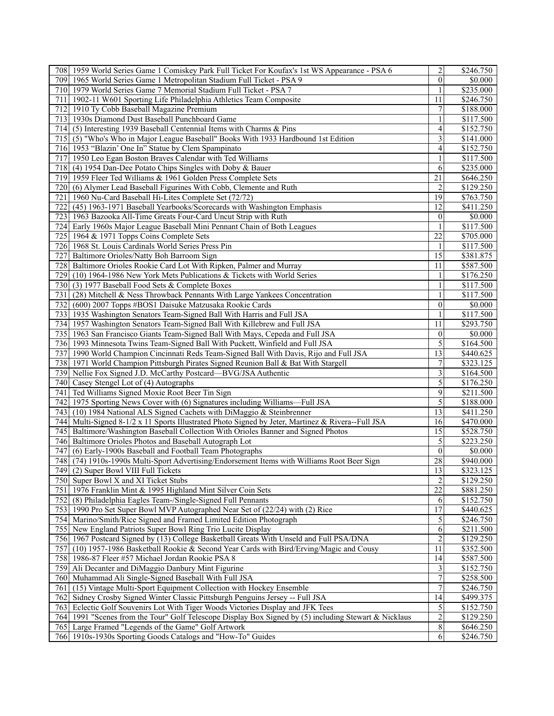|                  | 708 1959 World Series Game 1 Comiskey Park Full Ticket For Koufax's 1st WS Appearance - PSA 6                                               | $\overline{c}$          | \$246.750             |
|------------------|---------------------------------------------------------------------------------------------------------------------------------------------|-------------------------|-----------------------|
| 709              | 1965 World Series Game 1 Metropolitan Stadium Full Ticket - PSA 9                                                                           | $\theta$                | \$0.000               |
|                  | 710 1979 World Series Game 7 Memorial Stadium Full Ticket - PSA 7                                                                           |                         | \$235.000             |
|                  | 711   1902-11 W601 Sporting Life Philadelphia Athletics Team Composite                                                                      | 11                      | \$246.750             |
|                  | 712 1910 Ty Cobb Baseball Magazine Premium                                                                                                  | 7                       | \$188.000             |
|                  | 713 1930s Diamond Dust Baseball Punchboard Game                                                                                             |                         | \$117.500             |
|                  | 714 (5) Interesting 1939 Baseball Centennial Items with Charms & Pins                                                                       | 4                       | \$152.750             |
|                  | 715 (5) "Who's Who in Major League Baseball" Books With 1933 Hardbound 1st Edition                                                          | 3                       | \$141.000             |
|                  | 716 1953 "Blazin' One In" Statue by Clem Spampinato                                                                                         | 4                       | \$152.750             |
|                  | 717 1950 Leo Egan Boston Braves Calendar with Ted Williams                                                                                  | $\mathbf{1}$            | \$117.500             |
|                  | 718 (4) 1954 Dan-Dee Potato Chips Singles with Doby & Bauer                                                                                 | 6                       | \$235.000             |
|                  | 719 1959 Fleer Ted Williams & 1961 Golden Press Complete Sets                                                                               | 21                      | \$646.250             |
| 720              | (6) Alymer Lead Baseball Figurines With Cobb, Clemente and Ruth                                                                             | $\overline{\mathbf{c}}$ | \$129.250             |
| 721              | 1960 Nu-Card Baseball Hi-Lites Complete Set (72/72)                                                                                         | 19                      | \$763.750             |
|                  | 722 (45) 1963-1971 Baseball Yearbooks/Scorecards with Washington Emphasis                                                                   | 12                      | \$411.250             |
|                  |                                                                                                                                             |                         |                       |
|                  | 723   1963 Bazooka All-Time Greats Four-Card Uncut Strip with Ruth                                                                          | $\theta$                | \$0.000               |
|                  | 724 Early 1960s Major League Baseball Mini Pennant Chain of Both Leagues                                                                    | 1                       | \$117.500             |
|                  | 725 1964 & 1971 Topps Coins Complete Sets                                                                                                   | 22                      | \$705.000             |
|                  | 726 1968 St. Louis Cardinals World Series Press Pin                                                                                         | 1                       | \$117.500             |
| 727              | Baltimore Orioles/Natty Boh Barroom Sign                                                                                                    | 15                      | \$381.875             |
| 728              | Baltimore Orioles Rookie Card Lot With Ripken, Palmer and Murray                                                                            | 11                      | \$587.500             |
| 729              | (10) 1964-1986 New York Mets Publications & Tickets with World Series                                                                       |                         | \$176.250             |
| 730              | (3) 1977 Baseball Food Sets & Complete Boxes                                                                                                |                         | \$117.500             |
| 731              | (28) Mitchell & Ness Throwback Pennants With Large Yankees Concentration                                                                    | 1                       | \$117.500             |
|                  | 732 (600) 2007 Topps #BOS1 Daisuke Matzusaka Rookie Cards                                                                                   | $\mathbf{0}$            | \$0.000               |
|                  | 733 1935 Washington Senators Team-Signed Ball With Harris and Full JSA                                                                      |                         | \$117.500             |
|                  | 734 1957 Washington Senators Team-Signed Ball With Killebrew and Full JSA                                                                   | 11                      | \$293.750             |
|                  | 735 1963 San Francisco Giants Team-Signed Ball With Mays, Cepeda and Full JSA                                                               | $\boldsymbol{0}$        | \$0.000               |
|                  | 736 1993 Minnesota Twins Team-Signed Ball With Puckett, Winfield and Full JSA                                                               | 5                       | \$164.500             |
|                  | 737 1990 World Champion Cincinnati Reds Team-Signed Ball With Davis, Rijo and Full JSA                                                      | 13                      | \$440.625             |
|                  | 738 1971 World Champion Pittsburgh Pirates Signed Reunion Ball & Bat With Stargell                                                          | 7                       | \$323.125             |
| 739              | Nellie Fox Signed J.D. McCarthy Postcard-BVG/JSA Authentic                                                                                  | 3                       | \$164.500             |
| 740              | Casey Stengel Lot of (4) Autographs                                                                                                         | 5                       | \$176.250             |
| 741              | Ted Williams Signed Moxie Root Beer Tin Sign                                                                                                | 9                       | \$211.500             |
|                  | 742 1975 Sporting News Cover with (6) Signatures including Williams—Full JSA                                                                | 5                       | \$188.000             |
|                  | 743 (10) 1984 National ALS Signed Cachets with DiMaggio & Steinbrenner                                                                      | 13                      | \$411.250             |
|                  | 744 Multi-Signed 8-1/2 x 11 Sports Illustrated Photo Signed by Jeter, Martinez & Rivera--Full JSA                                           | 16                      | \$470.000             |
| 745              | Baltimore/Washington Baseball Collection With Orioles Banner and Signed Photos                                                              | 15                      | \$528.750             |
|                  | 746 Baltimore Orioles Photos and Baseball Autograph Lot                                                                                     | 5                       | \$223.250             |
|                  | 747 (6) Early-1900s Baseball and Football Team Photographs                                                                                  | $\mathbf{0}$            | \$0.000               |
|                  | 748 (74) 1910s-1990s Multi-Sport Advertising/Endorsement Items with Williams Root Beer Sign                                                 | 28                      | \$940.000             |
|                  | 749 (2) Super Bowl VIII Full Tickets                                                                                                        | $13$                    | \$323.125             |
|                  | 750 Super Bowl X and XI Ticket Stubs                                                                                                        | $\overline{2}$          | \$129.250             |
|                  | 751 1976 Franklin Mint & 1995 Highland Mint Silver Coin Sets                                                                                | $\overline{22}$         | \$881.250             |
|                  | 752 (8) Philadelphia Eagles Team-/Single-Signed Full Pennants                                                                               | 6                       | \$152.750             |
|                  |                                                                                                                                             | $\overline{17}$         |                       |
| 753              | 1990 Pro Set Super Bowl MVP Autographed Near Set of (22/24) with (2) Rice<br>Marino/Smith/Rice Signed and Framed Limited Edition Photograph |                         | \$440.625             |
| 754 <sup> </sup> |                                                                                                                                             | 5                       | \$246.750             |
|                  | 755 New England Patriots Super Bowl Ring Trio Lucite Display                                                                                | 6                       | \$211.500             |
|                  | 756 1967 Postcard Signed by (13) College Basketball Greats With Unseld and Full PSA/DNA                                                     | $\overline{2}$          | \$129.250             |
| 757              | (10) 1957-1986 Basketball Rookie & Second Year Cards with Bird/Erving/Magic and Cousy                                                       | 11                      | \$352.500             |
|                  | 758 1986-87 Fleer #57 Michael Jordan Rookie PSA 8                                                                                           | 14                      | $\overline{$}587.500$ |
| 759              | Ali Decanter and DiMaggio Danbury Mint Figurine                                                                                             | 3                       | \$152.750             |
|                  | 760 Muhammad Ali Single-Signed Baseball With Full JSA                                                                                       | $\overline{7}$          | \$258.500             |
| 761              | (15) Vintage Multi-Sport Equipment Collection with Hockey Ensemble                                                                          | $\overline{7}$          | \$246.750             |
|                  | 762 Sidney Crosby Signed Winter Classic Pittsburgh Penguins Jersey -- Full JSA                                                              | 14                      | $\overline{$499.375}$ |
| 763              | Eclectic Golf Souvenirs Lot With Tiger Woods Victories Display and JFK Tees                                                                 | 5                       | \$152.750             |
|                  | 764 1991 "Scenes from the Tour" Golf Telescope Display Box Signed by (5) including Stewart & Nicklaus                                       | $\boldsymbol{2}$        | \$129.250             |
|                  | 765 Large Framed "Legends of the Game" Golf Artwork                                                                                         | $\,8\,$                 | \$646.250             |
|                  | 766 1910s-1930s Sporting Goods Catalogs and "How-To" Guides                                                                                 | $\overline{6}$          | \$246.750             |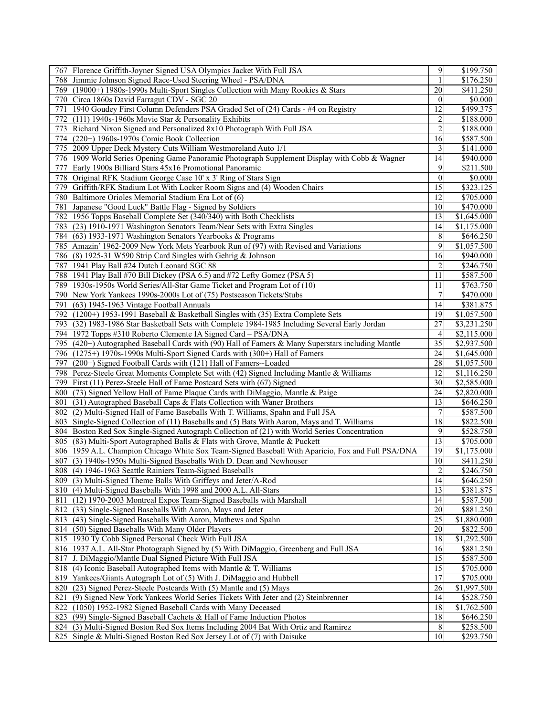| 767 Florence Griffith-Joyner Signed USA Olympics Jacket With Full JSA                             | 9               | \$199.750               |
|---------------------------------------------------------------------------------------------------|-----------------|-------------------------|
| Jimmie Johnson Signed Race-Used Steering Wheel - PSA/DNA<br>7681                                  | $\mathbf{1}$    | \$176.250               |
| 769 (19000+) 1980s-1990s Multi-Sport Singles Collection with Many Rookies & Stars                 | 20              | \$411.250               |
| Circa 1860s David Farragut CDV - SGC 20<br>7701                                                   | $\theta$        | \$0.000                 |
| 1940 Goudey First Column Defenders PSA Graded Set of (24) Cards - #4 on Registry<br>771           | 12              | \$499.375               |
| 772 (111) 1940s-1960s Movie Star & Personality Exhibits                                           | 2               | \$188.000               |
| 773 Richard Nixon Signed and Personalized 8x10 Photograph With Full JSA                           | $\overline{c}$  | \$188.000               |
| 774 (220+) 1960s-1970s Comic Book Collection                                                      | 16              | \$587.500               |
| 775   2009 Upper Deck Mystery Cuts William Westmoreland Auto 1/1                                  | 3               | \$141.000               |
| 776 1909 World Series Opening Game Panoramic Photograph Supplement Display with Cobb & Wagner     | 14              | \$940.000               |
| 777<br>Early 1900s Billiard Stars 45x16 Promotional Panoramic                                     | 9               | \$211.500               |
| 778 <sup> </sup>                                                                                  | $\mathbf{0}$    | \$0.000                 |
| Original RFK Stadium George Case 10' x 3' Ring of Stars Sign                                      | $\overline{15}$ |                         |
| 779 <br>Griffith/RFK Stadium Lot With Locker Room Signs and (4) Wooden Chairs                     |                 | \$323.125               |
| 780 Baltimore Orioles Memorial Stadium Era Lot of (6)                                             | 12              | \$705.000               |
| 781 Japanese "Good Luck" Battle Flag - Signed by Soldiers                                         | 10              | \$470.000               |
| 782 1956 Topps Baseball Complete Set (340/340) with Both Checklists                               | 13              | \$1,645.000             |
| 783 (23) 1910-1971 Washington Senators Team/Near Sets with Extra Singles                          | 14              | $\overline{$1,175.000}$ |
| 784 (63) 1933-1971 Washington Senators Yearbooks & Programs                                       | 8               | \$646.250               |
| 785 Amazin' 1962-2009 New York Mets Yearbook Run of (97) with Revised and Variations              | 9               | \$1,057.500             |
| 786 (8) 1925-31 W590 Strip Card Singles with Gehrig & Johnson                                     | 16              | \$940.000               |
| 787 1941 Play Ball #24 Dutch Leonard SGC 88                                                       | $\overline{2}$  | \$246.750               |
| 788 1941 Play Ball #70 Bill Dickey (PSA 6.5) and #72 Lefty Gomez (PSA 5)                          | 11              | \$587.500               |
| 789 1930s-1950s World Series/All-Star Game Ticket and Program Lot of (10)                         | 11              | \$763.750               |
| 790 New York Yankees 1990s-2000s Lot of (75) Postseason Tickets/Stubs                             | 7               | \$470.000               |
| 791<br>(63) 1945-1963 Vintage Football Annuals                                                    | 14              | \$381.875               |
| 792 (1200+) 1953-1991 Baseball & Basketball Singles with (35) Extra Complete Sets                 | 19              | $\overline{$}1,057.500$ |
| 793 (32) 1983-1986 Star Basketball Sets with Complete 1984-1985 Including Several Early Jordan    | 27              | \$3,231.250             |
| 794 1972 Topps #310 Roberto Clemente IA Signed Card – PSA/DNA                                     | 4               | \$2,115.000             |
| 795 (420+) Autographed Baseball Cards with (90) Hall of Famers & Many Superstars including Mantle | $\overline{35}$ | \$2,937.500             |
| 796 (1275+) 1970s-1990s Multi-Sport Signed Cards with (300+) Hall of Famers                       | 24              | \$1,645.000             |
| 797<br>(200+) Signed Football Cards with (121) Hall of Famers--Loaded                             | 28              | \$1,057.500             |
| 798 Perez-Steele Great Moments Complete Set with (42) Signed Including Mantle & Williams          | 12              | \$1,116.250             |
| 799 First (11) Perez-Steele Hall of Fame Postcard Sets with (67) Signed                           | 30              | \$2,585.000             |
| 800 (73) Signed Yellow Hall of Fame Plaque Cards with DiMaggio, Mantle & Paige                    | 24              | \$2,820.000             |
| 801                                                                                               | 13              |                         |
| (31) Autographed Baseball Caps & Flats Collection with Waner Brothers                             |                 | \$646.250               |
| 802<br>(2) Multi-Signed Hall of Fame Baseballs With T. Williams, Spahn and Full JSA               | 7               | $\overline{$}587.500$   |
| 803 Single-Signed Collection of (11) Baseballs and (5) Bats With Aaron, Mays and T. Williams      | 18              | \$822.500               |
| 804 Boston Red Sox Single-Signed Autograph Collection of (21) with World Series Concentration     | 9               | \$528.750               |
| 805 (83) Multi-Sport Autographed Balls & Flats with Grove, Mantle & Puckett                       | $\overline{13}$ | \$705.000               |
| 806 1959 A.L. Champion Chicago White Sox Team-Signed Baseball With Aparicio, Fox and Full PSA/DNA | 19              | \$1,175.000             |
| 807 (3) 1940s-1950s Multi-Signed Baseballs With D. Dean and Newhouser                             | 10              | \$411.250               |
| 808 (4) 1946-1963 Seattle Rainiers Team-Signed Baseballs                                          | $\overline{2}$  | \$246.750               |
| 809 (3) Multi-Signed Theme Balls With Griffeys and Jeter/A-Rod                                    | 14              | \$646.250               |
| 810 (4) Multi-Signed Baseballs With 1998 and 2000 A.L. All-Stars                                  | 13              | \$381.875               |
| 811 (12) 1970-2003 Montreal Expos Team-Signed Baseballs with Marshall                             | 14              | \$587.500               |
| 812 (33) Single-Signed Baseballs With Aaron, Mays and Jeter                                       | 20              | \$881.250               |
| 813 (43) Single-Signed Baseballs With Aaron, Mathews and Spahn                                    | 25              | $\overline{1,880.000}$  |
| 814 (50) Signed Baseballs With Many Older Players                                                 | 20              | \$822.500               |
| 815 1930 Ty Cobb Signed Personal Check With Full JSA                                              | 18              | \$1,292.500             |
| 816 1937 A.L. All-Star Photograph Signed by (5) With DiMaggio, Greenberg and Full JSA             | 16              | \$881.250               |
| 817 J. DiMaggio/Mantle Dual Signed Picture With Full JSA                                          | 15              | \$587.500               |
| 818 (4) Iconic Baseball Autographed Items with Mantle & T. Williams                               | 15              | \$705.000               |
| 819 Yankees/Giants Autograph Lot of (5) With J. DiMaggio and Hubbell                              | 17              | \$705.000               |
| 820 (23) Signed Perez-Steele Postcards With (5) Mantle and (5) Mays                               | 26              | \$1,997.500             |
| (9) Signed New York Yankees World Series Tickets With Jeter and (2) Steinbrenner<br>821           | 14              | \$528.750               |
| 822 (1050) 1952-1982 Signed Baseball Cards with Many Deceased                                     | 18              | \$1,762.500             |
| 823 (99) Single-Signed Baseball Cachets & Hall of Fame Induction Photos                           | 18              | \$646.250               |
| 824 (3) Multi-Signed Boston Red Sox Items Including 2004 Bat With Ortiz and Ramirez               | $\,8$           | \$258.500               |
| 825 Single & Multi-Signed Boston Red Sox Jersey Lot of (7) with Daisuke                           | 10              | \$293.750               |
|                                                                                                   |                 |                         |